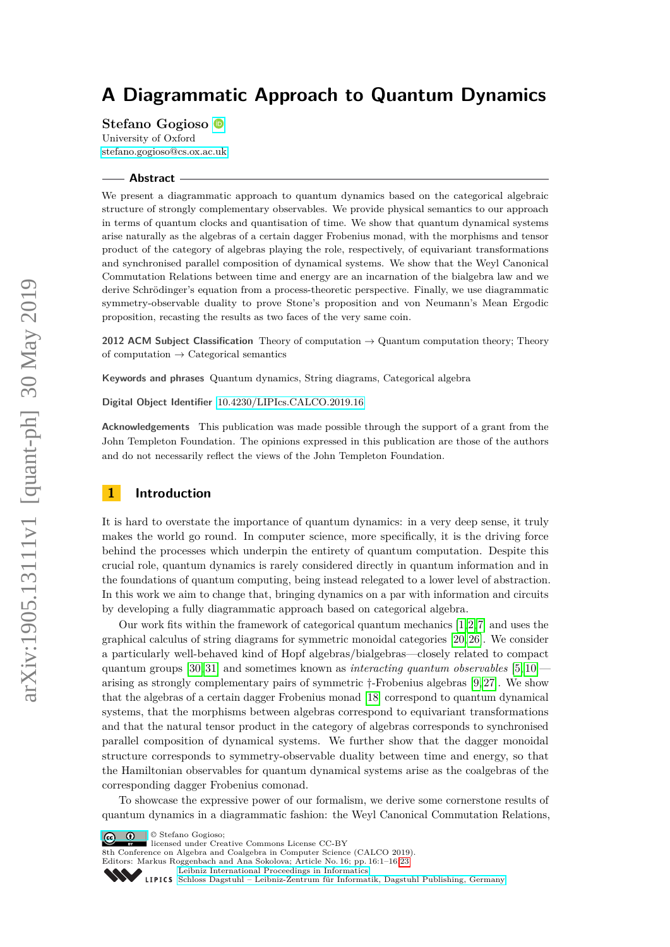# **A Diagrammatic Approach to Quantum Dynamics**

**Stefano Gogioso**

University of Oxford [stefano.gogioso@cs.ox.ac.uk](mailto:stefano.gogioso@cs.ox.ac.uk)

#### **Abstract**

We present a diagrammatic approach to quantum dynamics based on the categorical algebraic structure of strongly complementary observables. We provide physical semantics to our approach in terms of quantum clocks and quantisation of time. We show that quantum dynamical systems arise naturally as the algebras of a certain dagger Frobenius monad, with the morphisms and tensor product of the category of algebras playing the role, respectively, of equivariant transformations and synchronised parallel composition of dynamical systems. We show that the Weyl Canonical Commutation Relations between time and energy are an incarnation of the bialgebra law and we derive Schrödinger's equation from a process-theoretic perspective. Finally, we use diagrammatic symmetry-observable duality to prove Stone's proposition and von Neumann's Mean Ergodic proposition, recasting the results as two faces of the very same coin.

**2012 ACM Subject Classification** Theory of computation → Quantum computation theory; Theory of computation  $\rightarrow$  Categorical semantics

**Keywords and phrases** Quantum dynamics, String diagrams, Categorical algebra

**Digital Object Identifier** [10.4230/LIPIcs.CALCO.2019.16](https://doi.org/10.4230/LIPIcs.CALCO.2019.16)

**Acknowledgements** This publication was made possible through the support of a grant from the John Templeton Foundation. The opinions expressed in this publication are those of the authors and do not necessarily reflect the views of the John Templeton Foundation.

# **1 Introduction**

It is hard to overstate the importance of quantum dynamics: in a very deep sense, it truly makes the world go round. In computer science, more specifically, it is the driving force behind the processes which underpin the entirety of quantum computation. Despite this crucial role, quantum dynamics is rarely considered directly in quantum information and in the foundations of quantum computing, being instead relegated to a lower level of abstraction. In this work we aim to change that, bringing dynamics on a par with information and circuits by developing a fully diagrammatic approach based on categorical algebra.

Our work fits within the framework of categorical quantum mechanics [\[1,](#page-16-0)[2,](#page-16-1)[7\]](#page-16-2) and uses the graphical calculus of string diagrams for symmetric monoidal categories [\[20,](#page-17-0) [26\]](#page-17-1). We consider a particularly well-behaved kind of Hopf algebras/bialgebras—closely related to compact quantum groups [\[30,](#page-17-2) [31\]](#page-17-3) and sometimes known as *interacting quantum observables* [\[5,](#page-16-3) [10\]](#page-16-4) arising as strongly complementary pairs of symmetric †-Frobenius algebras [\[9,](#page-16-5) [27\]](#page-17-4). We show that the algebras of a certain dagger Frobenius monad [\[18\]](#page-16-6) correspond to quantum dynamical systems, that the morphisms between algebras correspond to equivariant transformations and that the natural tensor product in the category of algebras corresponds to synchronised parallel composition of dynamical systems. We further show that the dagger monoidal structure corresponds to symmetry-observable duality between time and energy, so that the Hamiltonian observables for quantum dynamical systems arise as the coalgebras of the corresponding dagger Frobenius comonad.

To showcase the expressive power of our formalism, we derive some cornerstone results of quantum dynamics in a diagrammatic fashion: the Weyl Canonical Commutation Relations,

© Stefano Gogioso;  $\boxed{6}$  0

licensed under Creative Commons License CC-BY

8th Conference on Algebra and Coalgebra in Computer Science (CALCO 2019).

Editors: Markus Roggenbach and Ana Sokolova; Article No. 16; pp. 16:1–16[:23](#page-22-0)

[Leibniz International Proceedings in Informatics](https://www.dagstuhl.de/lipics/)

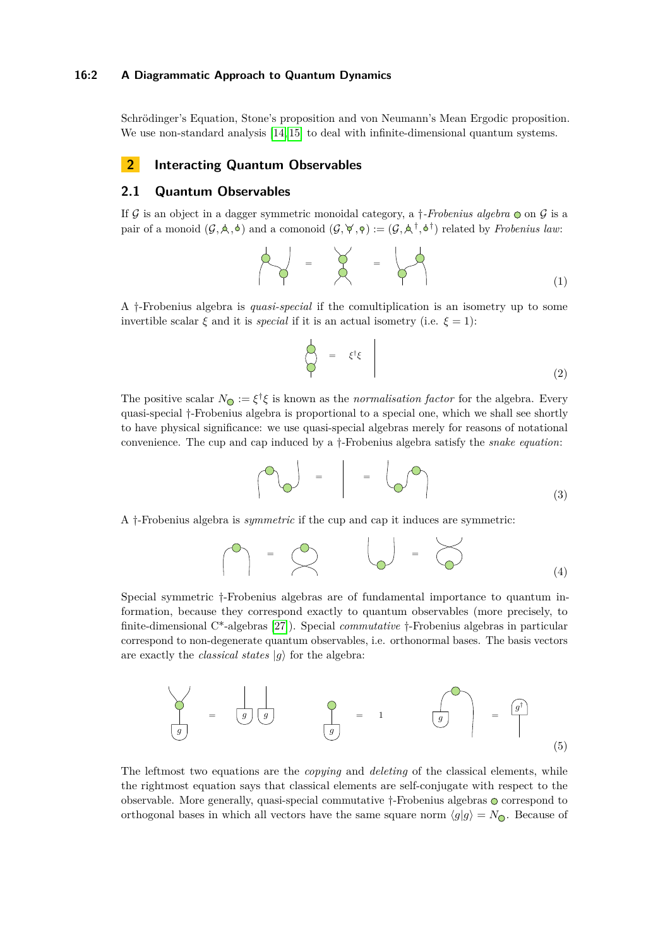#### **16:2 A Diagrammatic Approach to Quantum Dynamics**

Schrödinger's Equation, Stone's proposition and von Neumann's Mean Ergodic proposition. We use non-standard analysis [\[14,](#page-16-7) [15\]](#page-16-8) to deal with infinite-dimensional quantum systems.

# **2 Interacting Quantum Observables**

# **2.1 Quantum Observables**

If  $\mathcal G$  is an object in a dagger symmetric monoidal category, a  $\dagger$ -Frobenius algebra  $\odot$  on  $\mathcal G$  is a pair of a monoid  $(\mathcal{G}, \mathcal{A}, \mathcal{A})$  and a comonoid  $(\mathcal{G}, \mathcal{A}, \mathcal{A}) := (\mathcal{G}, \mathcal{A}^{\dagger}, \mathcal{A}^{\dagger})$  related by *Frobenius law*:

$$
\begin{array}{|c|c|c|c|c|}\n\hline\n\end{array} \hspace{0.2cm} = \hspace{0.2cm} \begin{array}{|c|c|c|c|}\n\hline\n\end{array} \hspace{0.2cm} = \hspace{0.2cm} \begin{array}{|c|c|c|}\n\hline\n\end{array} \hspace{0.2cm} = \hspace{0.2cm} \begin{array}{|c|c|}\n\hline\n\end{array} \hspace{0.2cm} = \hspace{0.2cm} \begin{array}{|c|c|}\n\hline\n\end{array} \hspace{0.2cm} = \hspace{0.2cm} \begin{array}{|c|c|c|}\n\hline\n\end{array} \hspace{0.2cm} (1)
$$

A †-Frobenius algebra is *quasi-special* if the comultiplication is an isometry up to some invertible scalar  $\xi$  and it is *special* if it is an actual isometry (i.e.  $\xi = 1$ ):

<span id="page-1-1"></span>
$$
\begin{array}{c}\n\downarrow \\
\heartsuit\n\end{array} = \xi^{\dagger}\xi\n\end{array}
$$
\n(2)

The positive scalar  $N_{\mathbb{Q}} := \xi^{\dagger} \xi$  is known as the *normalisation factor* for the algebra. Every quasi-special †-Frobenius algebra is proportional to a special one, which we shall see shortly to have physical significance: we use quasi-special algebras merely for reasons of notational convenience. The cup and cap induced by a †-Frobenius algebra satisfy the *snake equation*:

$$
\begin{pmatrix} 0 \\ 0 \end{pmatrix} = \begin{pmatrix} 0 \\ 0 \end{pmatrix} = \begin{pmatrix} 0 \\ 0 \end{pmatrix} \tag{3}
$$

A †-Frobenius algebra is *symmetric* if the cup and cap it induces are symmetric:

<span id="page-1-0"></span>
$$
\begin{pmatrix} 0 \\ 1 \end{pmatrix} = \begin{pmatrix} 0 \\ 0 \end{pmatrix} \qquad \begin{pmatrix} 0 \\ 0 \end{pmatrix} = \begin{pmatrix} 0 \\ 0 \end{pmatrix} \qquad (4)
$$

Special symmetric †-Frobenius algebras are of fundamental importance to quantum information, because they correspond exactly to quantum observables (more precisely, to finite-dimensional C\*-algebras [\[27\]](#page-17-4)). Special *commutative* †-Frobenius algebras in particular correspond to non-degenerate quantum observables, i.e. orthonormal bases. The basis vectors are exactly the *classical states*  $|g\rangle$  for the algebra:

*g* = *g g g* = 1 *g* = *g* † (5)

The leftmost two equations are the *copying* and *deleting* of the classical elements, while the rightmost equation says that classical elements are self-conjugate with respect to the observable. More generally, quasi-special commutative  $\dagger$ -Frobenius algebras  $\circ$  correspond to orthogonal bases in which all vectors have the same square norm  $\langle g|g \rangle = N_{\odot}$ . Because of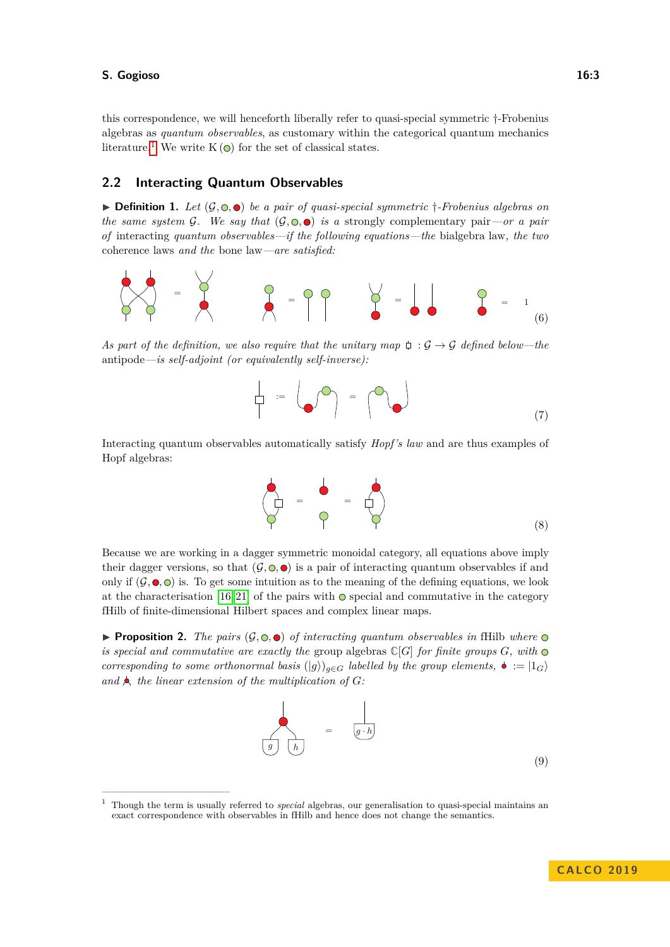this correspondence, we will henceforth liberally refer to quasi-special symmetric †-Frobenius algebras as *quantum observables*, as customary within the categorical quantum mechanics literature.<sup>[1](#page-2-0)</sup> We write K  $\odot$  for the set of classical states.

# **2.2 Interacting Quantum Observables**

 $\triangleright$  **Definition 1.** Let  $(\mathcal{G}, \odot, \bullet)$  be a pair of quasi-special symmetric  $\dagger$ -Frobenius algebras on *the same system* G. We say that  $(G, \mathbb{Q}, \bullet)$  *is a* strongly complementary pair—or a pair *of* interacting *quantum observables—if the following equations—the* bialgebra law*, the two* coherence laws *and the* bone law*—are satisfied:*



*As part of the definition, we also require that the unitary map*  $\varphi$  :  $\mathcal{G} \rightarrow \mathcal{G}$  *defined below—the* antipode*—is self-adjoint (or equivalently self-inverse):*

:= = (7)

Interacting quantum observables automatically satisfy *Hopf's law* and are thus examples of Hopf algebras:

$$
\begin{array}{ccc}\n\bullet & = & \bullet \\
\bullet & = & \bullet \\
\bullet & = & \bullet\n\end{array}\n\tag{8}
$$

Because we are working in a dagger symmetric monoidal category, all equations above imply their dagger versions, so that  $(\mathcal{G}, \mathbb{Q}, \bullet)$  is a pair of interacting quantum observables if and only if  $(\mathcal{G}, \bullet, \bullet)$  is. To get some intuition as to the meaning of the defining equations, we look at the characterisation [\[16,](#page-16-9) [21\]](#page-17-5) of the pairs with  $\odot$  special and commutative in the category fHilb of finite-dimensional Hilbert spaces and complex linear maps.

**Proposition 2.** The pairs  $(G, \mathbb{Q}, \bullet)$  of interacting quantum observables in fHilb where  $\bullet$ *is special and commutative are exactly the* group algebras  $\mathbb{C}[G]$  *for finite groups*  $G$ *, with*  $\odot$ *corresponding to some orthonormal basis*  $(|g\rangle)_{g \in G}$  *labelled by the group elements,*  $\bullet := |1_G\rangle$ and  $\bigwedge$  the linear extension of the multiplication of  $G$ :



<span id="page-2-0"></span><sup>1</sup> Though the term is usually referred to *special* algebras, our generalisation to quasi-special maintains an exact correspondence with observables in fHilb and hence does not change the semantics.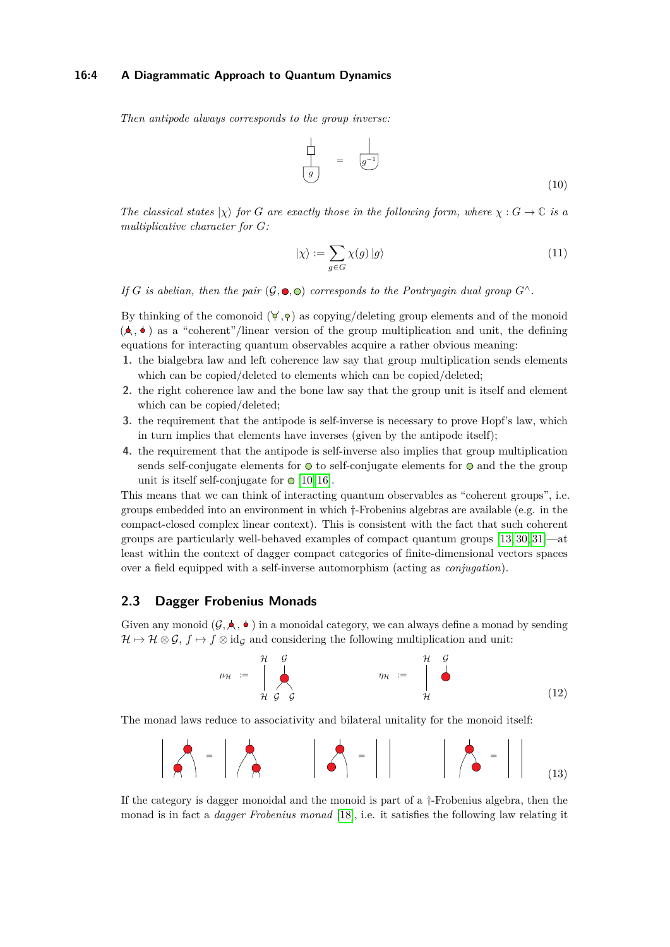#### **16:4 A Diagrammatic Approach to Quantum Dynamics**

*Then antipode always corresponds to the group inverse:*

$$
\begin{array}{|c|c|}\n\hline\n\vdots & \vdots & \vdots \\
\hline\n(g) & \multicolumn{3}{|c|}{=} & \text{(10)}\n\end{array}
$$

*The classical states*  $|\chi\rangle$  *for G* are exactly those in the following form, where  $\chi$  :  $G \to \mathbb{C}$  *is a multiplicative character for G:*

$$
|\chi\rangle := \sum_{g \in G} \chi(g) |g\rangle \tag{11}
$$

*If G is abelian, then the pair*  $(G, \bullet, \odot)$  *corresponds to the Pontruagin dual group*  $G^{\wedge}$ *.* 

By thinking of the comonoid  $(\forall, \varphi)$  as copying/deleting group elements and of the monoid  $(\star, \bullet)$  as a "coherent"/linear version of the group multiplication and unit, the defining equations for interacting quantum observables acquire a rather obvious meaning:

- **1.** the bialgebra law and left coherence law say that group multiplication sends elements which can be copied/deleted to elements which can be copied/deleted;
- **2.** the right coherence law and the bone law say that the group unit is itself and element which can be copied/deleted;
- **3.** the requirement that the antipode is self-inverse is necessary to prove Hopf's law, which in turn implies that elements have inverses (given by the antipode itself);
- **4.** the requirement that the antipode is self-inverse also implies that group multiplication sends self-conjugate elements for  $\odot$  to self-conjugate elements for  $\odot$  and the the group unit is itself self-conjugate for  $\odot$  [\[10,](#page-16-4) [16\]](#page-16-9).

This means that we can think of interacting quantum observables as "coherent groups", i.e. groups embedded into an environment in which †-Frobenius algebras are available (e.g. in the compact-closed complex linear context). This is consistent with the fact that such coherent groups are particularly well-behaved examples of compact quantum groups [\[13,](#page-16-10) [30,](#page-17-2) [31\]](#page-17-3)—at least within the context of dagger compact categories of finite-dimensional vectors spaces over a field equipped with a self-inverse automorphism (acting as *conjugation*).

# **2.3 Dagger Frobenius Monads**

Given any monoid  $(G, \blacktriangle, \blacktriangle)$  in a monoidal category, we can always define a monad by sending  $\mathcal{H} \mapsto \mathcal{H} \otimes \mathcal{G}, f \mapsto f \otimes id_{\mathcal{G}}$  and considering the following multiplication and unit:



The monad laws reduce to associativity and bilateral unitality for the monoid itself:



If the category is dagger monoidal and the monoid is part of a †-Frobenius algebra, then the monad is in fact a *dagger Frobenius monad* [\[18\]](#page-16-6), i.e. it satisfies the following law relating it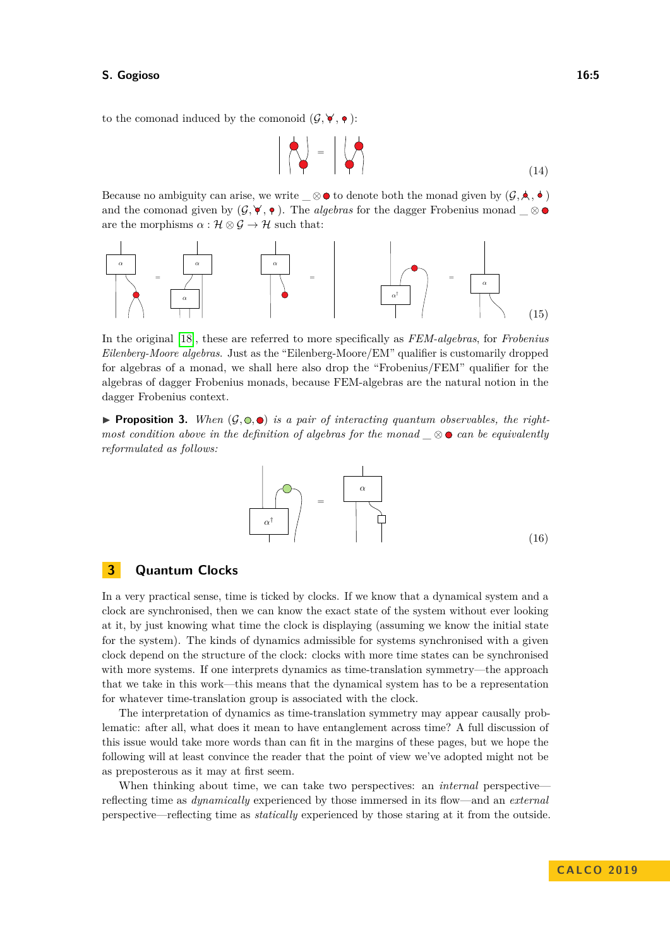to the comonad induced by the comonoid  $(\mathcal{G}, \forall, \bullet)$ :

$$
\left| \left| \left\langle \bullet \right| \right| = \left| \left\langle \bullet \right| \right| \right|
$$
 (14)

Because no ambiguity can arise, we write  $\_\otimes \bullet$  to denote both the monad given by  $(\mathcal{G}, \star, \bullet)$ and the comonad given by  $(G, \checkmark, \bullet)$ . The *algebras* for the dagger Frobenius monad \_ ⊗ are the morphisms  $\alpha : \mathcal{H} \otimes \mathcal{G} \to \mathcal{H}$  such that:



In the original [\[18\]](#page-16-6), these are referred to more specifically as *FEM-algebras*, for *Frobenius Eilenberg-Moore algebras*. Just as the "Eilenberg-Moore/EM" qualifier is customarily dropped for algebras of a monad, we shall here also drop the "Frobenius/FEM" qualifier for the algebras of dagger Frobenius monads, because FEM-algebras are the natural notion in the dagger Frobenius context.

<span id="page-4-0"></span>**Proposition 3.** When  $(\mathcal{G}, \mathbb{Q}, \bullet)$  is a pair of interacting quantum observables, the right*most condition above in the definition of algebras for the monad \_* ⊗ *can be equivalently reformulated as follows:*



# **3 Quantum Clocks**

In a very practical sense, time is ticked by clocks. If we know that a dynamical system and a clock are synchronised, then we can know the exact state of the system without ever looking at it, by just knowing what time the clock is displaying (assuming we know the initial state for the system). The kinds of dynamics admissible for systems synchronised with a given clock depend on the structure of the clock: clocks with more time states can be synchronised with more systems. If one interprets dynamics as time-translation symmetry—the approach that we take in this work—this means that the dynamical system has to be a representation for whatever time-translation group is associated with the clock.

The interpretation of dynamics as time-translation symmetry may appear causally problematic: after all, what does it mean to have entanglement across time? A full discussion of this issue would take more words than can fit in the margins of these pages, but we hope the following will at least convince the reader that the point of view we've adopted might not be as preposterous as it may at first seem.

When thinking about time, we can take two perspectives: an *internal* perspective reflecting time as *dynamically* experienced by those immersed in its flow—and an *external* perspective—reflecting time as *statically* experienced by those staring at it from the outside.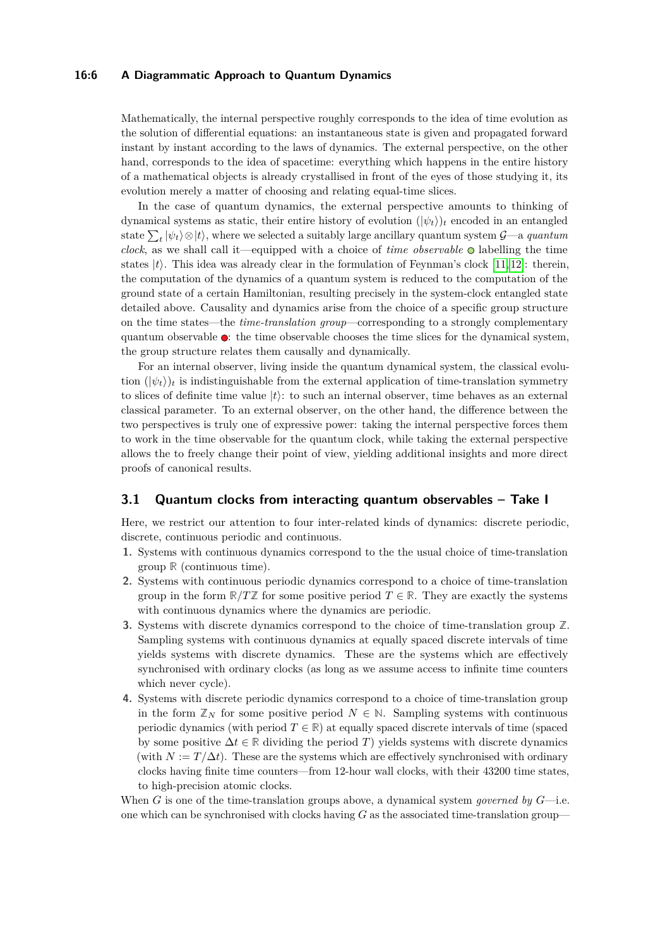#### **16:6 A Diagrammatic Approach to Quantum Dynamics**

Mathematically, the internal perspective roughly corresponds to the idea of time evolution as the solution of differential equations: an instantaneous state is given and propagated forward instant by instant according to the laws of dynamics. The external perspective, on the other hand, corresponds to the idea of spacetime: everything which happens in the entire history of a mathematical objects is already crystallised in front of the eyes of those studying it, its evolution merely a matter of choosing and relating equal-time slices.

In the case of quantum dynamics, the external perspective amounts to thinking of dynamical systems as static, their entire history of evolution  $(|\psi_t\rangle)_t$  encoded in an entangled state  $\sum_{t} |\psi_t\rangle \otimes |t\rangle$ , where we selected a suitably large ancillary quantum system  $\mathcal{G}$ —a *quantum clock*, as we shall call it—equipped with a choice of *time observable* labelling the time states  $|t\rangle$ . This idea was already clear in the formulation of Feynman's clock [\[11,](#page-16-11) [12\]](#page-16-12): therein, the computation of the dynamics of a quantum system is reduced to the computation of the ground state of a certain Hamiltonian, resulting precisely in the system-clock entangled state detailed above. Causality and dynamics arise from the choice of a specific group structure on the time states—the *time-translation group*—corresponding to a strongly complementary quantum observable  $\bullet$ : the time observable chooses the time slices for the dynamical system, the group structure relates them causally and dynamically.

For an internal observer, living inside the quantum dynamical system, the classical evolution  $(|\psi_t\rangle)_t$  is indistinguishable from the external application of time-translation symmetry to slices of definite time value  $|t\rangle$ : to such an internal observer, time behaves as an external classical parameter. To an external observer, on the other hand, the difference between the two perspectives is truly one of expressive power: taking the internal perspective forces them to work in the time observable for the quantum clock, while taking the external perspective allows the to freely change their point of view, yielding additional insights and more direct proofs of canonical results.

### **3.1 Quantum clocks from interacting quantum observables – Take I**

Here, we restrict our attention to four inter-related kinds of dynamics: discrete periodic, discrete, continuous periodic and continuous.

- **1.** Systems with continuous dynamics correspond to the the usual choice of time-translation group **R** (continuous time).
- **2.** Systems with continuous periodic dynamics correspond to a choice of time-translation group in the form  $\mathbb{R}/T\mathbb{Z}$  for some positive period  $T \in \mathbb{R}$ . They are exactly the systems with continuous dynamics where the dynamics are periodic.
- **3.** Systems with discrete dynamics correspond to the choice of time-translation group **Z**. Sampling systems with continuous dynamics at equally spaced discrete intervals of time yields systems with discrete dynamics. These are the systems which are effectively synchronised with ordinary clocks (as long as we assume access to infinite time counters which never cycle).
- **4.** Systems with discrete periodic dynamics correspond to a choice of time-translation group in the form  $\mathbb{Z}_N$  for some positive period  $N \in \mathbb{N}$ . Sampling systems with continuous periodic dynamics (with period  $T \in \mathbb{R}$ ) at equally spaced discrete intervals of time (spaced by some positive  $\Delta t \in \mathbb{R}$  dividing the period *T*) yields systems with discrete dynamics (with  $N := T/\Delta t$ ). These are the systems which are effectively synchronised with ordinary clocks having finite time counters—from 12-hour wall clocks, with their 43200 time states, to high-precision atomic clocks.

When *G* is one of the time-translation groups above, a dynamical system *governed by G*—i.e. one which can be synchronised with clocks having *G* as the associated time-translation group—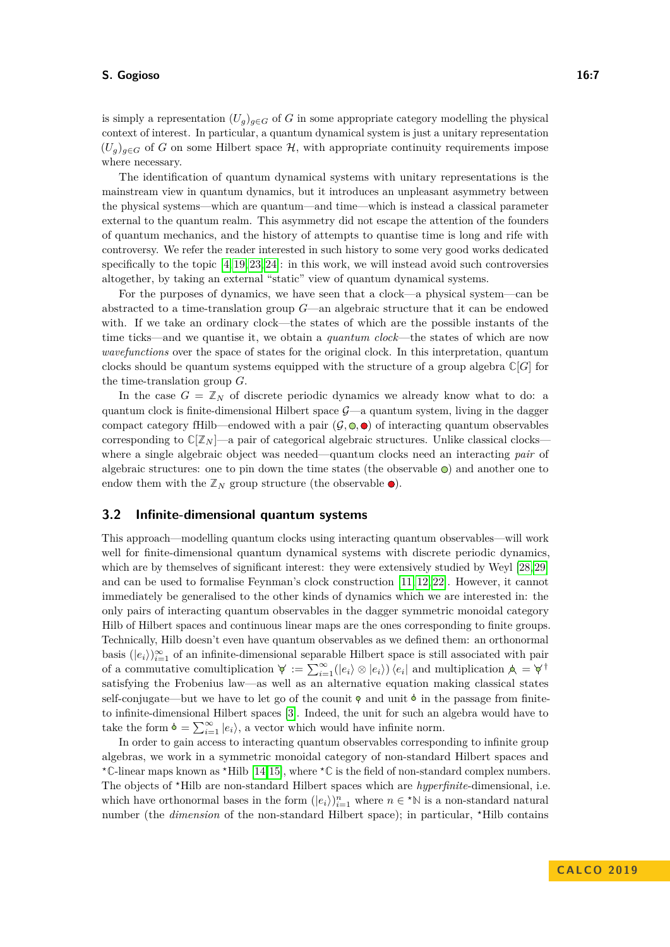is simply a representation  $(U_q)_{q \in G}$  of *G* in some appropriate category modelling the physical context of interest. In particular, a quantum dynamical system is just a unitary representation  $(U_q)_{q \in G}$  of G on some Hilbert space  $\mathcal{H}$ , with appropriate continuity requirements impose where necessary.

The identification of quantum dynamical systems with unitary representations is the mainstream view in quantum dynamics, but it introduces an unpleasant asymmetry between the physical systems—which are quantum—and time—which is instead a classical parameter external to the quantum realm. This asymmetry did not escape the attention of the founders of quantum mechanics, and the history of attempts to quantise time is long and rife with controversy. We refer the reader interested in such history to some very good works dedicated specifically to the topic  $[4, 19, 23, 24]$  $[4, 19, 23, 24]$  $[4, 19, 23, 24]$  $[4, 19, 23, 24]$ : in this work, we will instead avoid such controversies altogether, by taking an external "static" view of quantum dynamical systems.

For the purposes of dynamics, we have seen that a clock—a physical system—can be abstracted to a time-translation group *G*—an algebraic structure that it can be endowed with. If we take an ordinary clock—the states of which are the possible instants of the time ticks—and we quantise it, we obtain a *quantum clock*—the states of which are now *wavefunctions* over the space of states for the original clock. In this interpretation, quantum clocks should be quantum systems equipped with the structure of a group algebra  $\mathbb{C}[G]$  for the time-translation group *G*.

In the case  $G = \mathbb{Z}_N$  of discrete periodic dynamics we already know what to do: a quantum clock is finite-dimensional Hilbert space  $\mathcal{G}-a$  quantum system, living in the dagger compact category fHilb—endowed with a pair  $(\mathcal{G}, \mathbb{Q}, \bullet)$  of interacting quantum observables corresponding to  $\mathbb{C}[\mathbb{Z}_N]$ —a pair of categorical algebraic structures. Unlike classical clockswhere a single algebraic object was needed—quantum clocks need an interacting *pair* of algebraic structures: one to pin down the time states (the observable  $\circledcirc$ ) and another one to endow them with the  $\mathbb{Z}_N$  group structure (the observable  $\bullet$ ).

# **3.2 Infinite-dimensional quantum systems**

This approach—modelling quantum clocks using interacting quantum observables—will work well for finite-dimensional quantum dynamical systems with discrete periodic dynamics, which are by themselves of significant interest: they were extensively studied by Weyl [\[28,](#page-17-8) [29\]](#page-17-9) and can be used to formalise Feynman's clock construction [\[11,](#page-16-11) [12,](#page-16-12) [22\]](#page-17-10). However, it cannot immediately be generalised to the other kinds of dynamics which we are interested in: the only pairs of interacting quantum observables in the dagger symmetric monoidal category Hilb of Hilbert spaces and continuous linear maps are the ones corresponding to finite groups. Technically, Hilb doesn't even have quantum observables as we defined them: an orthonormal basis  $(|e_i\rangle)_{i=1}^{\infty}$  of an infinite-dimensional separable Hilbert space is still associated with pair of a commutative comultiplication  $\forall := \sum_{i=1}^{\infty} (|e_i\rangle \otimes |e_i\rangle) \langle e_i|$  and multiplication  $\forall = \forall$ <sup>†</sup> satisfying the Frobenius law—as well as an alternative equation making classical states self-conjugate—but we have to let go of the counit  $\phi$  and unit  $\phi$  in the passage from finiteto infinite-dimensional Hilbert spaces [\[3\]](#page-16-15). Indeed, the unit for such an algebra would have to take the form  $\phi = \sum_{i=1}^{\infty} |e_i\rangle$ , a vector which would have infinite norm.

In order to gain access to interacting quantum observables corresponding to infinite group algebras, we work in a symmetric monoidal category of non-standard Hilbert spaces and *?***C**-linear maps known as *?*Hilb [\[14,](#page-16-7)[15\]](#page-16-8), where *?***C** is the field of non-standard complex numbers. The objects of <sup>\*</sup>Hilb are non-standard Hilbert spaces which are *hyperfinite*-dimensional, i.e. which have orthonormal bases in the form  $(|e_i\rangle)_{i=1}^n$  where  $n \in \star \mathbb{N}$  is a non-standard natural number (the *dimension* of the non-standard Hilbert space); in particular, \*Hilb contains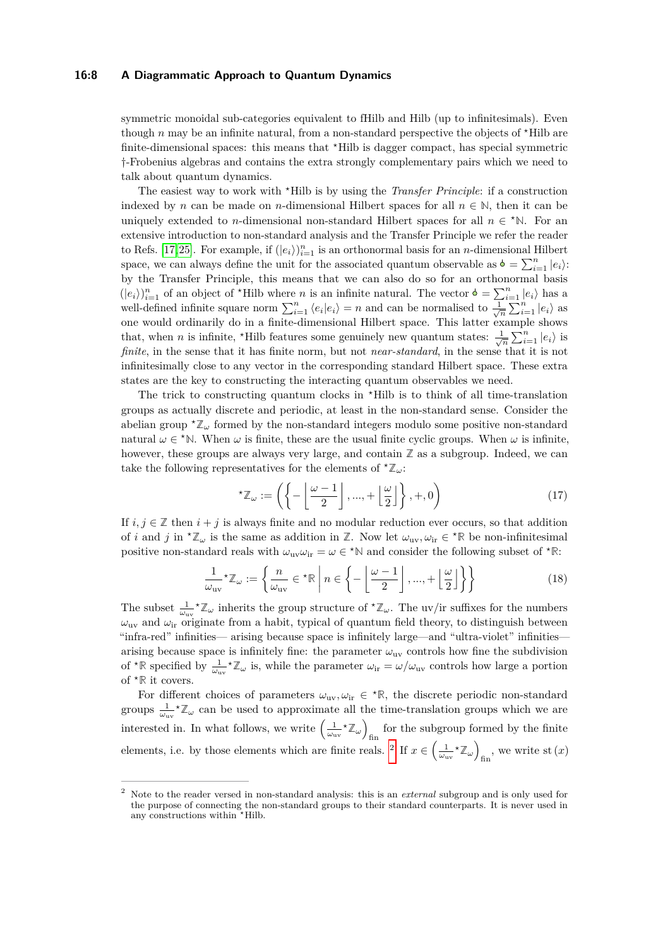#### **16:8 A Diagrammatic Approach to Quantum Dynamics**

symmetric monoidal sub-categories equivalent to fHilb and Hilb (up to infinitesimals). Even though *n* may be an infinite natural, from a non-standard perspective the objects of \*Hilb are finite-dimensional spaces: this means that  $*$ Hilb is dagger compact, has special symmetric †-Frobenius algebras and contains the extra strongly complementary pairs which we need to talk about quantum dynamics.

The easiest way to work with *?*Hilb is by using the *Transfer Principle*: if a construction indexed by *n* can be made on *n*-dimensional Hilbert spaces for all  $n \in \mathbb{N}$ , then it can be uniquely extended to *n*-dimensional non-standard Hilbert spaces for all  $n \in \mathbb{N}$ . For an extensive introduction to non-standard analysis and the Transfer Principle we refer the reader to Refs. [\[17,](#page-16-16)[25\]](#page-17-11). For example, if  $(|e_i\rangle)_{i=1}^n$  is an orthonormal basis for an *n*-dimensional Hilbert space, we can always define the unit for the associated quantum observable as  $\phi = \sum_{i=1}^{n} |e_i\rangle$ : by the Transfer Principle, this means that we can also do so for an orthonormal basis  $(|e_i\rangle)_{i=1}^n$  of an object of \*Hilb where *n* is an infinite natural. The vector  $\phi = \sum_{i=1}^n |e_i\rangle$  has a well-defined infinite square norm  $\sum_{i=1}^{n} \langle e_i | e_i \rangle = n$  and can be normalised to  $\frac{1}{\sqrt{n}} \sum_{i=1}^{n} |e_i \rangle$  as one would ordinarily do in a finite-dimensional Hilbert space. This latter example shows that, when *n* is infinite, \*Hilb features some genuinely new quantum states:  $\frac{1}{\sqrt{n}} \sum_{i=1}^{n} |e_i\rangle$  is *finite*, in the sense that it has finite norm, but not *near-standard*, in the sense that it is not infinitesimally close to any vector in the corresponding standard Hilbert space. These extra states are the key to constructing the interacting quantum observables we need.

The trick to constructing quantum clocks in *?*Hilb is to think of all time-translation groups as actually discrete and periodic, at least in the non-standard sense. Consider the abelian group  $^{\star}\mathbb{Z}_{\omega}$  formed by the non-standard integers modulo some positive non-standard natural  $\omega \in$  <sup>\*</sup>N. When  $\omega$  is finite, these are the usual finite cyclic groups. When  $\omega$  is infinite, however, these groups are always very large, and contain  $\mathbb{Z}$  as a subgroup. Indeed, we can take the following representatives for the elements of  $^{\star}\mathbb{Z}_{\omega}$ :

$$
{}^{\star}\mathbb{Z}_{\omega} := \left( \left\{ -\left\lfloor \frac{\omega - 1}{2} \right\rfloor, ..., + \left\lfloor \frac{\omega}{2} \right\rfloor \right\}, +, 0 \right) \tag{17}
$$

If  $i, j \in \mathbb{Z}$  then  $i + j$  is always finite and no modular reduction ever occurs, so that addition of *i* and *j* in <sup>\*</sup> $\mathbb{Z}_\omega$  is the same as addition in  $\mathbb{Z}$ . Now let  $\omega_{uv}, \omega_{iv} \in {}^{\star} \mathbb{R}$  be non-infinitesimal positive non-standard reals with  $\omega_{uv}\omega_{ir} = \omega \in \Sigma^* N$  and consider the following subset of  $\Sigma^* R$ :

$$
\frac{1}{\omega_{\text{uv}}} \star \mathbb{Z}_{\omega} := \left\{ \frac{n}{\omega_{\text{uv}}} \in \star \mathbb{R} \; \middle| \; n \in \left\{ -\left\lfloor \frac{\omega - 1}{2} \right\rfloor, \dots, + \left\lfloor \frac{\omega}{2} \right\rfloor \right\} \right\}
$$
(18)

The subset  $\frac{1}{\omega_{uv}} \chi^2_{\omega}$  inherits the group structure of  $\chi^2_{\omega}$ . The uv/ir suffixes for the numbers  $\omega_{\rm uv}$  and  $\omega_{\rm ir}$  originate from a habit, typical of quantum field theory, to distinguish between "infra-red" infinities— arising because space is infinitely large—and "ultra-violet" infinities arising because space is infinitely fine: the parameter  $\omega_{uv}$  controls how fine the subdivision of  $* \mathbb{R}$  specified by  $\frac{1}{\omega_{uv}} * \mathbb{Z}_{\omega}$  is, while the parameter  $\omega_{ir} = \omega/\omega_{uv}$  controls how large a portion of  $*$ **R** it covers.

For different choices of parameters  $\omega_{uv}, \omega_{ir} \in {}^{\star}\mathbb{R}$ , the discrete periodic non-standard groups  $\frac{1}{\omega_{uv}}\star\mathbb{Z}_{\omega}$  can be used to approximate all the time-translation groups which we are interested in. In what follows, we write  $\left(\frac{1}{\omega_{uv}} \star \mathbb{Z}_{\omega}\right)$ fin for the subgroup formed by the finite elements, i.e. by those elements which are finite reals. <sup>[2](#page-7-0)</sup> If  $x \in \left(\frac{1}{\omega_{uv}} \times \mathbb{Z}_\omega\right)$  $_{\text{fin}}$ , we write st  $(x)$ 

<span id="page-7-0"></span><sup>2</sup> Note to the reader versed in non-standard analysis: this is an *external* subgroup and is only used for the purpose of connecting the non-standard groups to their standard counterparts. It is never used in any constructions within *?*Hilb.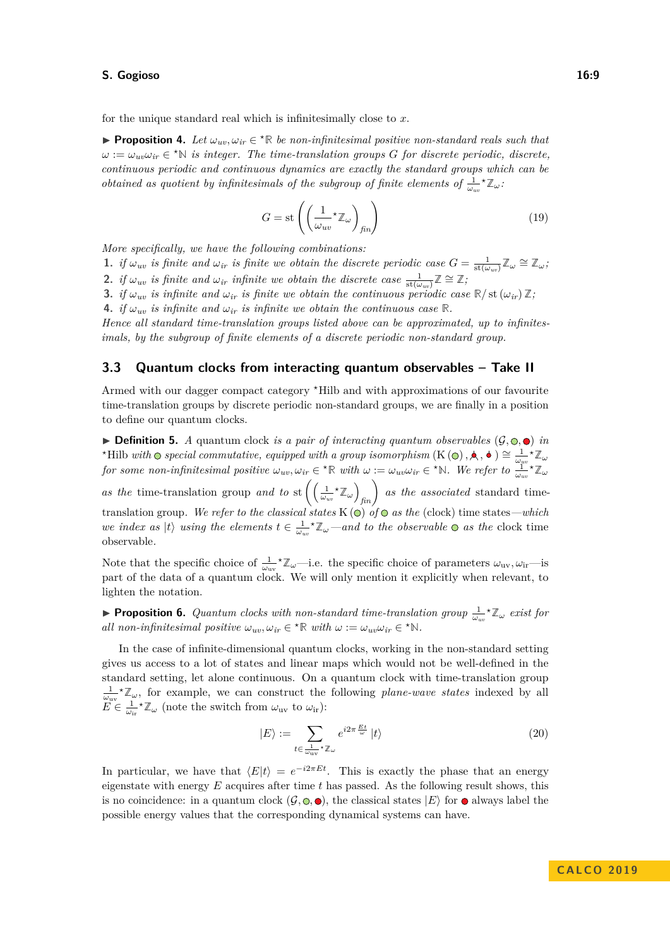for the unique standard real which is infinitesimally close to *x*.

<span id="page-8-1"></span>**Proposition 4.** Let  $\omega_{uv}, \omega_{ir} \in {}^{\star} \mathbb{R}$  be non-infinitesimal positive non-standard reals such that  $\omega := \omega_{uv} \omega_{ir} \in \text{R}^{\star} \mathbb{N}$  *is integer. The time-translation groups G for discrete periodic, discrete, continuous periodic and continuous dynamics are exactly the standard groups which can be obtained as quotient by infinitesimals of the subgroup of finite elements of*  $\frac{1}{\omega_{uv}} \times \mathbb{Z}_{\omega}$ .

$$
G = \text{st}\left(\left(\frac{1}{\omega_{uv}} \star \mathbb{Z}_{\omega}\right)_{fin}\right) \tag{19}
$$

*More specifically, we have the following combinations:*

- **1.** *if*  $\omega_{uv}$  *is finite and*  $\omega_{ir}$  *is finite we obtain the discrete periodic case*  $G = \frac{1}{\text{st}(\omega_{uv})} \mathbb{Z}_{\omega} \cong \mathbb{Z}_{\omega}$ ;
- 2. *if*  $\omega_{uv}$  *is finite and*  $\omega_{ir}$  *infinite we obtain the discrete case*  $\frac{1}{\text{st}(\omega_{uv})}\mathbb{Z} \cong \mathbb{Z}$ ;
- **3.** *if*  $\omega_{uv}$  *is infinite and*  $\omega_{ir}$  *is finite we obtain the continuous periodic case*  $\mathbb{R}/\mathrm{st}(\omega_{ir})\mathbb{Z}$ *;*
- **4.** *if*  $\omega_{uv}$  *is infinite and*  $\omega_{ir}$  *is infinite we obtain the continuous case*  $\mathbb{R}$ *.*

*Hence all standard time-translation groups listed above can be approximated, up to infinitesimals, by the subgroup of finite elements of a discrete periodic non-standard group.*

# **3.3 Quantum clocks from interacting quantum observables – Take II**

Armed with our dagger compact category *?*Hilb and with approximations of our favourite time-translation groups by discrete periodic non-standard groups, we are finally in a position to define our quantum clocks.

 $\triangleright$  **Definition 5.** *A* quantum clock *is a pair of interacting quantum observables*  $(\mathcal{G}, \mathbf{\odot}, \bullet)$  *in <sup>∗</sup>Hilb with*  $\odot$  *special commutative, equipped with a group isomorphism* (K  $(\odot)$ ,  $\star$ ,  $\bullet$  )  $\cong \frac{1}{\omega_{\mu\nu}}$ <sup>*\**</sup>  $\mathbb{Z}_{\omega}$ for some non-infinitesimal positive  $\omega_{uv}, \omega_{ir} \in {}^{\star} \mathbb{R}$  with  $\omega := \omega_{uv} \omega_{ir} \in {}^{\star} \mathbb{N}$ . We refer to  $\frac{1}{\omega_{uv}} {}^{\star} \mathbb{Z}_{\omega_{uv}}$ 

*as the* time-translation group *and to* st  $\left( \left( \frac{1}{\omega_{uv}} \star \mathbb{Z}_{\omega} \right)_{fin} \right)$  *as the associated* standard timetranslation group. We refer to the classical states  $K(\circ)$  of  $\circ$  as the (clock) time states—which *we index as*  $|t\rangle$  *using the elements*  $t \in \frac{1}{\omega_{uv}} \times \mathbb{Z}_{\omega}$ —*and to the observable*  $\odot$  *as the* clock time observable*.*

Note that the specific choice of  $\frac{1}{\omega_{uv}} \times \mathbb{Z}_{\omega}$ —i.e. the specific choice of parameters  $\omega_{uv}, \omega_{ir}$ —is part of the data of a quantum clock. We will only mention it explicitly when relevant, to lighten the notation.

<span id="page-8-2"></span>**Proposition 6.** Quantum clocks with non-standard time-translation group  $\frac{1}{\omega_{uv}}\star\mathbb{Z}_\omega$  exist for *all non-infinitesimal positive*  $\omega_{uv}, \omega_{ir} \in {}^{\star} \mathbb{R}$  *with*  $\omega := \omega_{uv} \omega_{ir} \in {}^{\star} \mathbb{N}$ *.* 

In the case of infinite-dimensional quantum clocks, working in the non-standard setting gives us access to a lot of states and linear maps which would not be well-defined in the standard setting, let alone continuous. On a quantum clock with time-translation group  $\frac{1}{\omega_{uv}}\star\mathbb{Z}_{\omega}$ , for example, we can construct the following *plane-wave states* indexed by all  $E^{\mu} \in \frac{1}{\omega_{ir}} \star \mathbb{Z}_{\omega}$  (note the switch from  $\omega_{uv}$  to  $\omega_{ir}$ ):

<span id="page-8-0"></span>
$$
|E\rangle := \sum_{t \in \frac{1}{\omega_{\text{uv}}} \star \mathbb{Z}_{\omega}} e^{i2\pi \frac{Et}{\omega}} |t\rangle \tag{20}
$$

<span id="page-8-3"></span>In particular, we have that  $\langle E|t \rangle = e^{-i2\pi E t}$ . This is exactly the phase that an energy eigenstate with energy *E* acquires after time *t* has passed. As the following result shows, this is no coincidence: in a quantum clock  $(\mathcal{G}, \mathbb{Q}, \bullet)$ , the classical states  $|E\rangle$  for  $\bullet$  always label the possible energy values that the corresponding dynamical systems can have.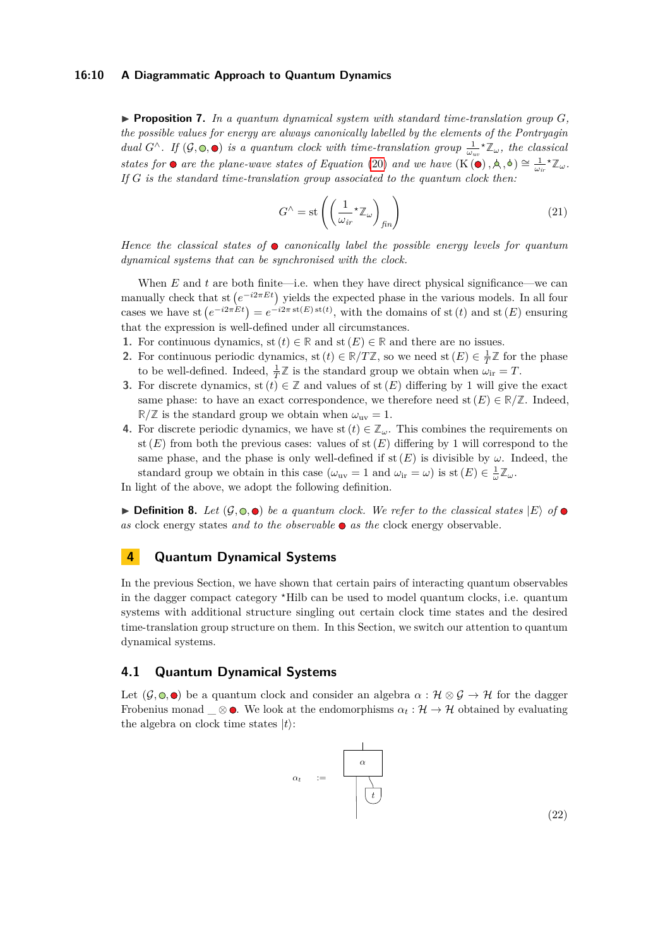#### **16:10 A Diagrammatic Approach to Quantum Dynamics**

 $\triangleright$  **Proposition 7.** In a quantum dynamical system with standard time-translation group  $G$ , *the possible values for energy are always canonically labelled by the elements of the Pontryagin dual*  $G^{\wedge}$ *. If*  $(G, \circledcirc, \bullet)$  *is a quantum clock with time-translation group*  $\frac{1}{\omega_{uv}} \star \mathbb{Z}_{\omega}$ *, the classical states for*  $\bullet$  *are the plane-wave states of Equation* [\(20\)](#page-8-0) *and we have*  $(K(\bullet), \land, \bullet) \cong \frac{1}{\omega_i} * \mathbb{Z}_{\omega}$ . *If G is the standard time-translation group associated to the quantum clock then:*

$$
G^{\wedge} = \text{st}\left(\left(\frac{1}{\omega_{ir}} \star \mathbb{Z}_{\omega}\right)_{fin}\right) \tag{21}
$$

*Hence the classical states of canonically label the possible energy levels for quantum dynamical systems that can be synchronised with the clock.*

When  $E$  and  $t$  are both finite—i.e. when they have direct physical significance—we can manually check that st  $(e^{-i2\pi E t})$  yields the expected phase in the various models. In all four cases we have st  $(e^{-i2\pi E t}) = e^{-i2\pi \operatorname{st}(E) \operatorname{st}(t)}$ , with the domains of st (*t*) and st (*E*) ensuring that the expression is well-defined under all circumstances.

- **1.** For continuous dynamics, st  $(t) \in \mathbb{R}$  and st  $(E) \in \mathbb{R}$  and there are no issues.
- **2.** For continuous periodic dynamics, st  $(t) \in \mathbb{R}/T\mathbb{Z}$ , so we need st  $(E) \in \frac{1}{T}\mathbb{Z}$  for the phase to be well-defined. Indeed,  $\frac{1}{T}\mathbb{Z}$  is the standard group we obtain when  $\omega_{ir} = T$ .
- **3.** For discrete dynamics, st  $(t) \in \mathbb{Z}$  and values of st  $(E)$  differing by 1 will give the exact same phase: to have an exact correspondence, we therefore need st  $(E) \in \mathbb{R}/\mathbb{Z}$ . Indeed,  $\mathbb{R}/\mathbb{Z}$  is the standard group we obtain when  $\omega_{uv} = 1$ .
- **4.** For discrete periodic dynamics, we have st  $(t) \in \mathbb{Z}_{\omega}$ . This combines the requirements on st  $(E)$  from both the previous cases: values of st  $(E)$  differing by 1 will correspond to the same phase, and the phase is only well-defined if  $\text{st}(E)$  is divisible by  $\omega$ . Indeed, the standard group we obtain in this case  $(\omega_{uv} = 1 \text{ and } \omega_{ir} = \omega)$  is st  $(E) \in \frac{1}{\omega} \mathbb{Z}_{\omega}$ .

In light of the above, we adopt the following definition.

 $\triangleright$  **Definition 8.** Let  $(\mathcal{G}, \odot, \bullet)$  be a quantum clock. We refer to the classical states  $|E\rangle$  of  $\bullet$ *as* clock energy states *and to the observable as the* clock energy observable*.*

# **4 Quantum Dynamical Systems**

In the previous Section, we have shown that certain pairs of interacting quantum observables in the dagger compact category *?*Hilb can be used to model quantum clocks, i.e. quantum systems with additional structure singling out certain clock time states and the desired time-translation group structure on them. In this Section, we switch our attention to quantum dynamical systems.

# **4.1 Quantum Dynamical Systems**

Let  $(G, \circ, \bullet)$  be a quantum clock and consider an algebra  $\alpha : \mathcal{H} \otimes \mathcal{G} \to \mathcal{H}$  for the dagger Frobenius monad  $\otimes \bullet$ . We look at the endomorphisms  $\alpha_t : \mathcal{H} \to \mathcal{H}$  obtained by evaluating the algebra on clock time states  $|t\rangle$ :

$$
\alpha_t = \begin{array}{c} \begin{array}{c} \begin{array}{c} \hline \begin{array}{c} \hline \begin{array}{c} \hline \hline \end{array}} \\ \hline \hline \end{array}} \\ \hline \begin{array}{c} \hline \end{array}} \end{array} \end{array} \tag{22}
$$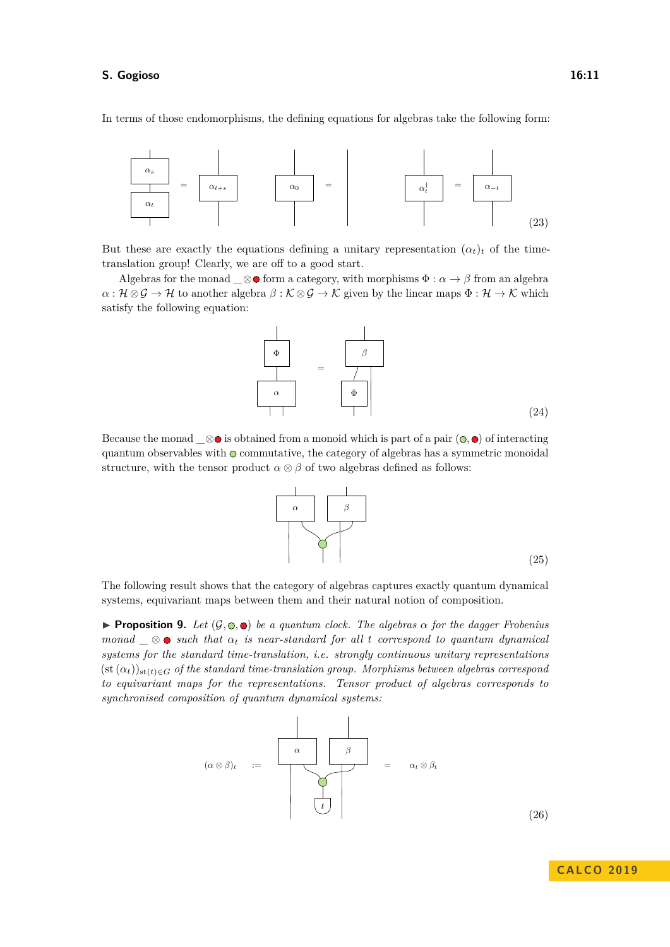In terms of those endomorphisms, the defining equations for algebras take the following form:



But these are exactly the equations defining a unitary representation  $(\alpha_t)_t$  of the timetranslation group! Clearly, we are off to a good start.

Algebras for the monad  $\_\otimes$  form a category, with morphisms  $\Phi : \alpha \to \beta$  from an algebra  $\alpha: \mathcal{H} \otimes \mathcal{G} \to \mathcal{H}$  to another algebra  $\beta: \mathcal{K} \otimes \mathcal{G} \to \mathcal{K}$  given by the linear maps  $\Phi: \mathcal{H} \to \mathcal{K}$  which satisfy the following equation:



Because the monad  $\otimes \bullet$  is obtained from a monoid which is part of a pair  $(\bullet, \bullet)$  of interacting quantum observables with  $\circ$  commutative, the category of algebras has a symmetric monoidal structure, with the tensor product  $\alpha \otimes \beta$  of two algebras defined as follows:

> *α β* (25)

The following result shows that the category of algebras captures exactly quantum dynamical systems, equivariant maps between them and their natural notion of composition.

<span id="page-10-0"></span>**Proposition 9.** *Let*  $(G, \mathbb{O}, \bullet)$  *be a quantum clock. The algebras*  $\alpha$  *for the dagger Frobenius monad*  $\otimes$   $\otimes$  *such that*  $\alpha_t$  *is near-standard for all t correspond to quantum dynamical systems for the standard time-translation, i.e. strongly continuous unitary representations*  $(\text{st }(\alpha_t))_{\text{st}(t) \in G}$  *of the standard time-translation group. Morphisms between algebras correspond to equivariant maps for the representations. Tensor product of algebras corresponds to synchronised composition of quantum dynamical systems:*



(26)

**C A L CO 2 0 1 9**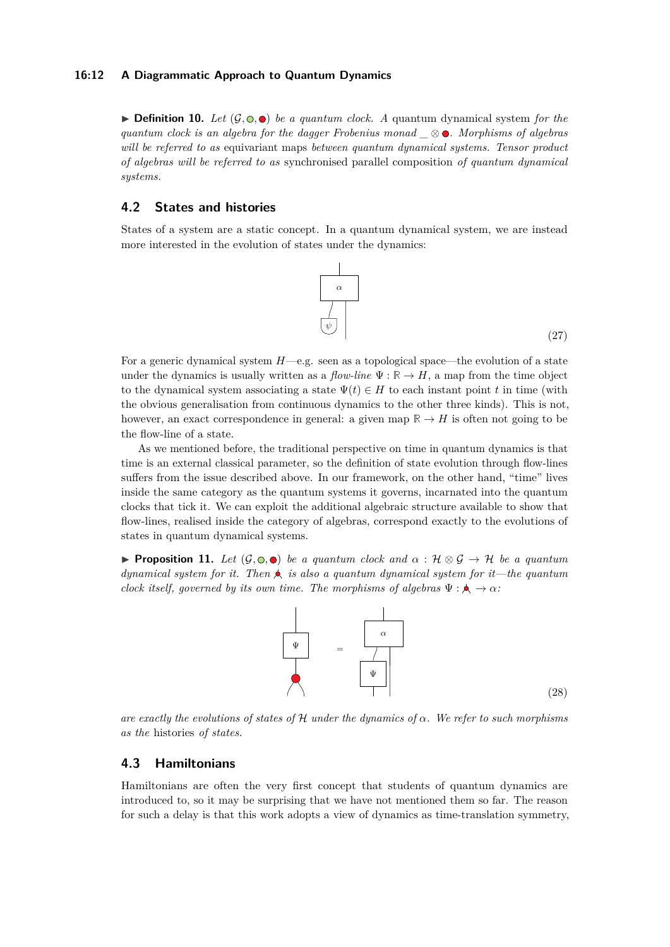#### **16:12 A Diagrammatic Approach to Quantum Dynamics**

 $\triangleright$  **Definition 10.** Let  $(G, \circledcirc, \bullet)$  be a quantum clock. A quantum dynamical system for the *quantum clock is an algebra for the dagger Frobenius monad \_* ⊗ *. Morphisms of algebras will be referred to as* equivariant maps *between quantum dynamical systems. Tensor product of algebras will be referred to as* synchronised parallel composition *of quantum dynamical systems.*

# **4.2 States and histories**

States of a system are a static concept. In a quantum dynamical system, we are instead more interested in the evolution of states under the dynamics:



(27)

(28)

For a generic dynamical system *H*—e.g. seen as a topological space—the evolution of a state under the dynamics is usually written as a *flow-line*  $\Psi : \mathbb{R} \to H$ , a map from the time object to the dynamical system associating a state  $\Psi(t) \in H$  to each instant point *t* in time (with the obvious generalisation from continuous dynamics to the other three kinds). This is not, however, an exact correspondence in general: a given map  $\mathbb{R} \to H$  is often not going to be the flow-line of a state.

As we mentioned before, the traditional perspective on time in quantum dynamics is that time is an external classical parameter, so the definition of state evolution through flow-lines suffers from the issue described above. In our framework, on the other hand, "time" lives inside the same category as the quantum systems it governs, incarnated into the quantum clocks that tick it. We can exploit the additional algebraic structure available to show that flow-lines, realised inside the category of algebras, correspond exactly to the evolutions of states in quantum dynamical systems.

<span id="page-11-0"></span>**Proposition 11.** Let  $(G, \mathbb{O}, \bullet)$  be a quantum clock and  $\alpha : \mathcal{H} \otimes \mathcal{G} \to \mathcal{H}$  be a quantum *dynamical system for it. Then is also a quantum dynamical system for it—the quantum clock itself, governed by its own time. The morphisms of algebras*  $\Psi : \mathbf{A} \to \alpha$ *:* 



*are exactly the evolutions of states of* H *under the dynamics of α. We refer to such morphisms as the* histories *of states.*

# **4.3 Hamiltonians**

Hamiltonians are often the very first concept that students of quantum dynamics are introduced to, so it may be surprising that we have not mentioned them so far. The reason for such a delay is that this work adopts a view of dynamics as time-translation symmetry,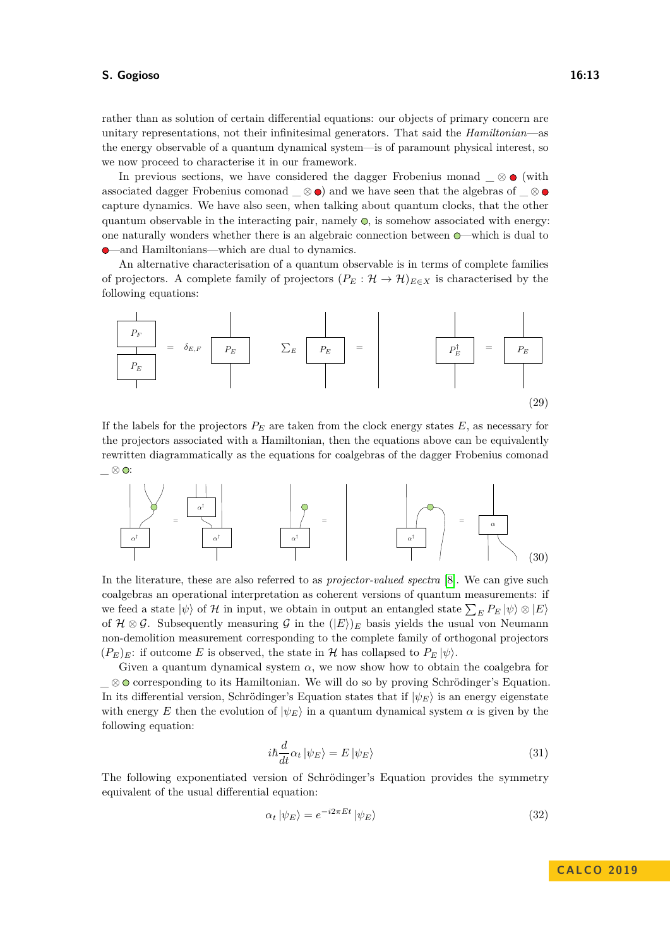rather than as solution of certain differential equations: our objects of primary concern are unitary representations, not their infinitesimal generators. That said the *Hamiltonian*—as the energy observable of a quantum dynamical system—is of paramount physical interest, so we now proceed to characterise it in our framework.

In previous sections, we have considered the dagger Frobenius monad  $\_\otimes$  (with associated dagger Frobenius comonad  $\otimes \bullet$  and we have seen that the algebras of  $\otimes \bullet$ capture dynamics. We have also seen, when talking about quantum clocks, that the other quantum observable in the interacting pair, namely  $\odot$ , is somehow associated with energy: one naturally wonders whether there is an algebraic connection between —which is dual to —and Hamiltonians—which are dual to dynamics.

An alternative characterisation of a quantum observable is in terms of complete families of projectors. A complete family of projectors  $(P_E : \mathcal{H} \to \mathcal{H})_{E \in X}$  is characterised by the following equations:



If the labels for the projectors  $P_E$  are taken from the clock energy states  $E$ , as necessary for the projectors associated with a Hamiltonian, then the equations above can be equivalently rewritten diagrammatically as the equations for coalgebras of the dagger Frobenius comonad  $\_\otimes$   $\odot$ :



In the literature, these are also referred to as *projector-valued spectra* [\[8\]](#page-16-17). We can give such coalgebras an operational interpretation as coherent versions of quantum measurements: if we feed a state  $|\psi\rangle$  of H in input, we obtain in output an entangled state  $\sum_{E} P_E |\psi\rangle \otimes |E\rangle$ of  $\mathcal{H} \otimes \mathcal{G}$ . Subsequently measuring  $\mathcal{G}$  in the  $(|E\rangle)_E$  basis yields the usual von Neumann non-demolition measurement corresponding to the complete family of orthogonal projectors  $(P_E)_E$ : if outcome *E* is observed, the state in *H* has collapsed to  $P_E |\psi\rangle$ .

Given a quantum dynamical system  $\alpha$ , we now show how to obtain the coalgebra for \_ ⊗ corresponding to its Hamiltonian. We will do so by proving Schrödinger's Equation. In its differential version, Schrödinger's Equation states that if  $|\psi_E\rangle$  is an energy eigenstate with energy *E* then the evolution of  $|\psi_E\rangle$  in a quantum dynamical system  $\alpha$  is given by the following equation:

$$
i\hbar \frac{d}{dt} \alpha_t \left| \psi_E \right\rangle = E \left| \psi_E \right\rangle \tag{31}
$$

The following exponentiated version of Schrödinger's Equation provides the symmetry equivalent of the usual differential equation:

$$
\alpha_t |\psi_E\rangle = e^{-i2\pi Et} |\psi_E\rangle \tag{32}
$$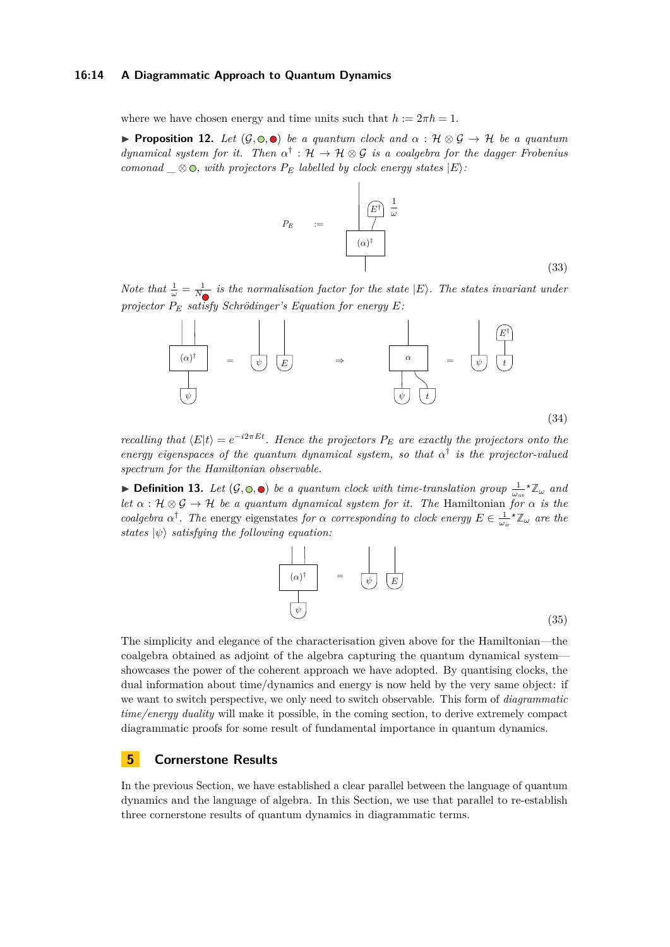#### **16:14 A Diagrammatic Approach to Quantum Dynamics**

where we have chosen energy and time units such that  $h := 2\pi\hbar = 1$ .

<span id="page-13-0"></span>**► Proposition 12.** Let  $(G, \circledcirc, \bullet)$  be a quantum clock and  $\alpha : \mathcal{H} \otimes \mathcal{G} \rightarrow \mathcal{H}$  be a quantum *dynamical system for it.* Then  $\alpha^{\dagger}$  :  $\mathcal{H} \to \mathcal{H} \otimes \mathcal{G}$  *is a coalgebra for the dagger Frobenius comonad*  $\otimes$   $\odot$ , with projectors  $P_E$  *labelled by clock energy states*  $|E\rangle$ *:* 

$$
P_E \qquad := \qquad \qquad \overline{E^{\dagger}} \frac{1}{\omega}
$$
\n
$$
(\alpha)^{\dagger} \qquad (33)
$$

*Note that*  $\frac{1}{\omega} = \frac{1}{N_{\odot}}$  *is the normalisation factor for the state*  $|E\rangle$ *. The states invariant under projector P<sup>E</sup> satisfy Schrödinger's Equation for energy E:*



*recalling that*  $\langle E|t \rangle = e^{-i2\pi E t}$ *. Hence the projectors*  $P_E$  *are exactly the projectors onto the energy eigenspaces of the quantum dynamical system, so that*  $\alpha^{\dagger}$  *is the projector-valued spectrum for the Hamiltonian observable.*

**• Definition 13.** Let  $(G, \circledcirc, \bullet)$  be a quantum clock with time-translation group  $\frac{1}{\omega_{uv}} \star \mathbb{Z}_{\omega}$  and *let*  $\alpha : \mathcal{H} \otimes \mathcal{G} \to \mathcal{H}$  *be a quantum dynamical system for it. The Hamiltonian for*  $\alpha$  *is the coalgebra*  $\alpha^{\dagger}$ *. The* energy eigenstates *for*  $\alpha$  *corresponding to clock energy*  $E \in \frac{1}{\omega_{ir}} \mathbb{Z}_{\omega}$  *are the states*  $|\psi\rangle$  *satisfying the following equation:* 



The simplicity and elegance of the characterisation given above for the Hamiltonian—the coalgebra obtained as adjoint of the algebra capturing the quantum dynamical system showcases the power of the coherent approach we have adopted. By quantising clocks, the dual information about time/dynamics and energy is now held by the very same object: if we want to switch perspective, we only need to switch observable. This form of *diagrammatic time/energy duality* will make it possible, in the coming section, to derive extremely compact diagrammatic proofs for some result of fundamental importance in quantum dynamics.

# **5 Cornerstone Results**

In the previous Section, we have established a clear parallel between the language of quantum dynamics and the language of algebra. In this Section, we use that parallel to re-establish three cornerstone results of quantum dynamics in diagrammatic terms.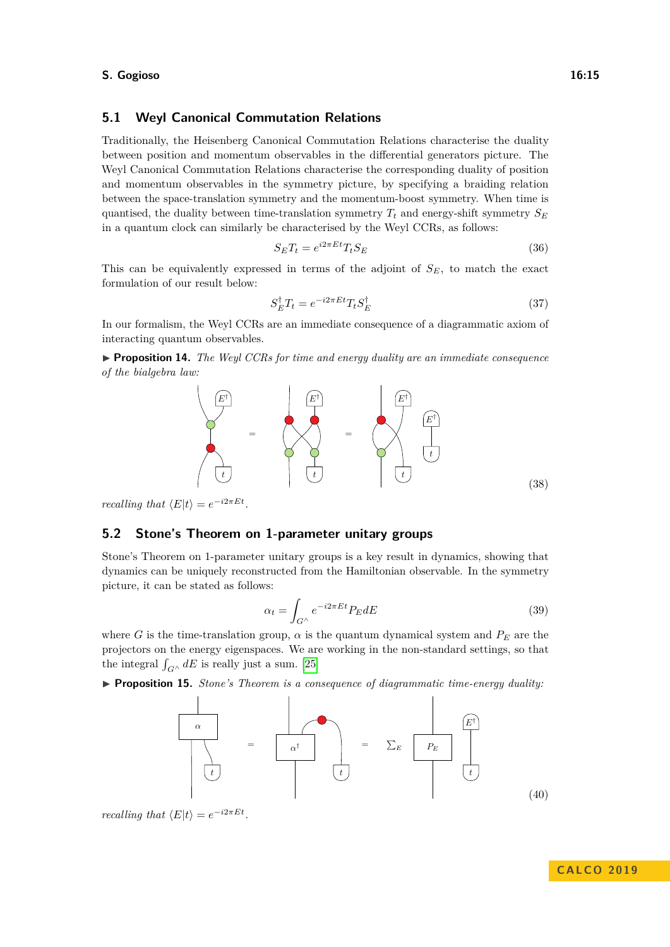### **5.1 Weyl Canonical Commutation Relations**

Traditionally, the Heisenberg Canonical Commutation Relations characterise the duality between position and momentum observables in the differential generators picture. The Weyl Canonical Commutation Relations characterise the corresponding duality of position and momentum observables in the symmetry picture, by specifying a braiding relation between the space-translation symmetry and the momentum-boost symmetry. When time is quantised, the duality between time-translation symmetry  $T_t$  and energy-shift symmetry  $S_E$ in a quantum clock can similarly be characterised by the Weyl CCRs, as follows:

$$
S_E T_t = e^{i2\pi E t} T_t S_E \tag{36}
$$

This can be equivalently expressed in terms of the adjoint of *SE*, to match the exact formulation of our result below:

$$
S_E^{\dagger} T_t = e^{-i2\pi E t} T_t S_E^{\dagger} \tag{37}
$$

In our formalism, the Weyl CCRs are an immediate consequence of a diagrammatic axiom of interacting quantum observables.

<span id="page-14-0"></span>▶ **Proposition 14.** *The Weyl CCRs for time and energy duality are an immediate consequence of the bialgebra law:*



*recalling that*  $\langle E|t \rangle = e^{-i2\pi E t}$ .

### **5.2 Stone's Theorem on 1-parameter unitary groups**

Stone's Theorem on 1-parameter unitary groups is a key result in dynamics, showing that dynamics can be uniquely reconstructed from the Hamiltonian observable. In the symmetry picture, it can be stated as follows:

$$
\alpha_t = \int_{G^\wedge} e^{-i2\pi Et} P_E dE \tag{39}
$$

where *G* is the time-translation group,  $\alpha$  is the quantum dynamical system and  $P_E$  are the projectors on the energy eigenspaces. We are working in the non-standard settings, so that the integral  $\int_{G} \wedge dE$  is really just a sum. [\[25\]](#page-17-11)

<span id="page-14-1"></span>I **Proposition 15.** *Stone's Theorem is a consequence of diagrammatic time-energy duality:*



*recalling that*  $\langle E|t \rangle = e^{-i2\pi E t}$ .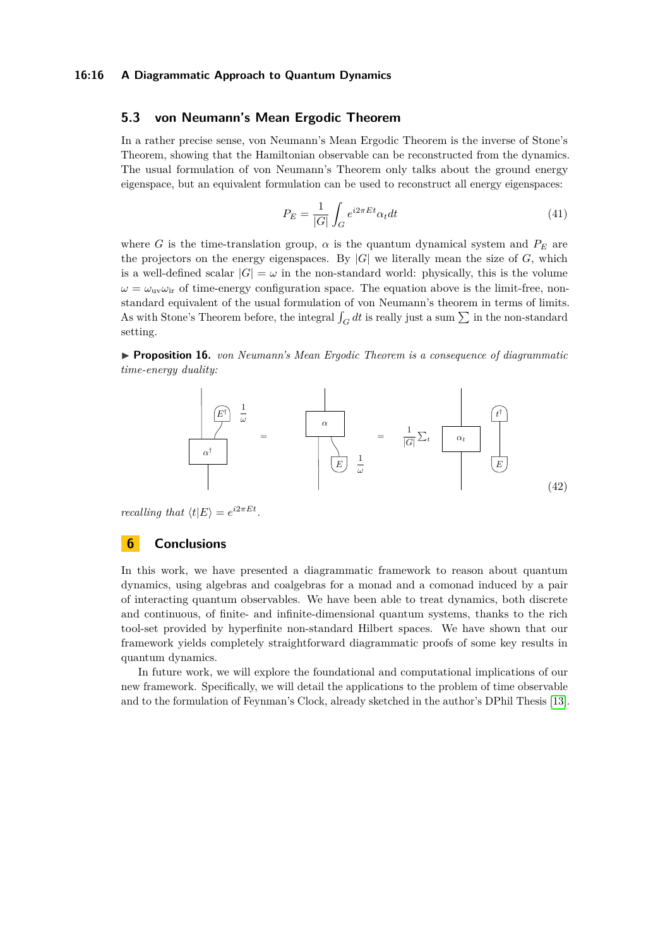#### **16:16 A Diagrammatic Approach to Quantum Dynamics**

### **5.3 von Neumann's Mean Ergodic Theorem**

In a rather precise sense, von Neumann's Mean Ergodic Theorem is the inverse of Stone's Theorem, showing that the Hamiltonian observable can be reconstructed from the dynamics. The usual formulation of von Neumann's Theorem only talks about the ground energy eigenspace, but an equivalent formulation can be used to reconstruct all energy eigenspaces:

$$
P_E = \frac{1}{|G|} \int_G e^{i2\pi Et} \alpha_t dt
$$
\n(41)

where *G* is the time-translation group,  $\alpha$  is the quantum dynamical system and  $P_E$  are the projectors on the energy eigenspaces. By  $|G|$  we literally mean the size of  $G$ , which is a well-defined scalar  $|G| = \omega$  in the non-standard world: physically, this is the volume  $\omega = \omega_{\rm uv} \omega_{\rm ir}$  of time-energy configuration space. The equation above is the limit-free, nonstandard equivalent of the usual formulation of von Neumann's theorem in terms of limits. As with Stone's Theorem before, the integral  $\int_G dt$  is really just a sum  $\sum$  in the non-standard setting.

<span id="page-15-0"></span>I **Proposition 16.** *von Neumann's Mean Ergodic Theorem is a consequence of diagrammatic time-energy duality:*



*recalling that*  $\langle t|E \rangle = e^{i2\pi E t}$ .

# **6 Conclusions**

In this work, we have presented a diagrammatic framework to reason about quantum dynamics, using algebras and coalgebras for a monad and a comonad induced by a pair of interacting quantum observables. We have been able to treat dynamics, both discrete and continuous, of finite- and infinite-dimensional quantum systems, thanks to the rich tool-set provided by hyperfinite non-standard Hilbert spaces. We have shown that our framework yields completely straightforward diagrammatic proofs of some key results in quantum dynamics.

In future work, we will explore the foundational and computational implications of our new framework. Specifically, we will detail the applications to the problem of time observable and to the formulation of Feynman's Clock, already sketched in the author's DPhil Thesis [\[13\]](#page-16-10).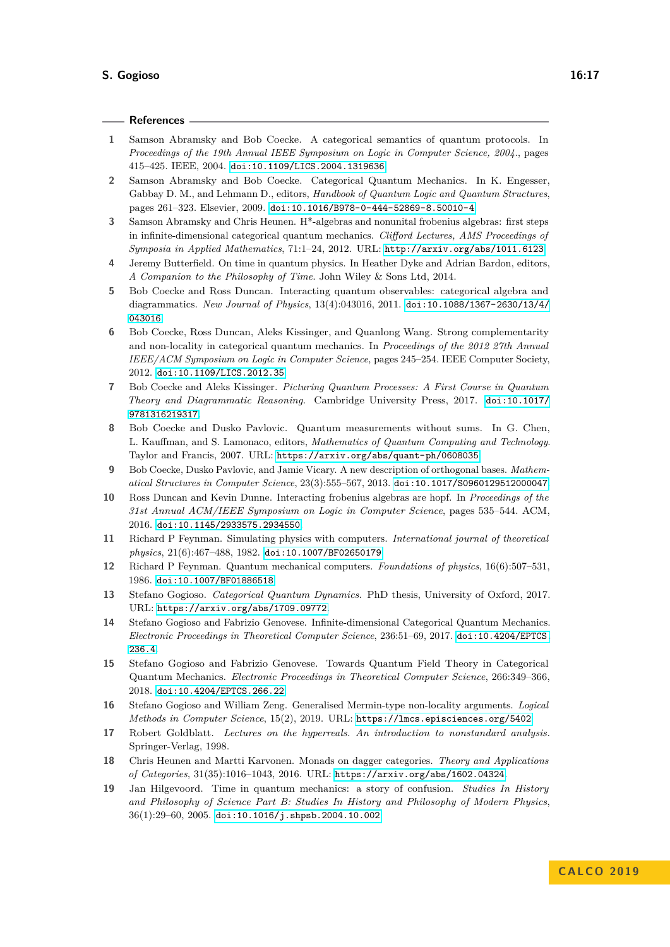#### **References**

- <span id="page-16-0"></span>**1** Samson Abramsky and Bob Coecke. A categorical semantics of quantum protocols. In *Proceedings of the 19th Annual IEEE Symposium on Logic in Computer Science, 2004.*, pages 415–425. IEEE, 2004. [doi:10.1109/LICS.2004.1319636](http://dx.doi.org/10.1109/LICS.2004.1319636).
- <span id="page-16-1"></span>**2** Samson Abramsky and Bob Coecke. Categorical Quantum Mechanics. In K. Engesser, Gabbay D. M., and Lehmann D., editors, *Handbook of Quantum Logic and Quantum Structures*, pages 261–323. Elsevier, 2009. [doi:10.1016/B978-0-444-52869-8.50010-4](http://dx.doi.org/10.1016/B978-0-444-52869-8.50010-4).
- <span id="page-16-15"></span>**3** Samson Abramsky and Chris Heunen. H\*-algebras and nonunital frobenius algebras: first steps in infinite-dimensional categorical quantum mechanics. *Clifford Lectures, AMS Proceedings of Symposia in Applied Mathematics*, 71:1–24, 2012. URL: <http://arxiv.org/abs/1011.6123>.
- <span id="page-16-13"></span>**4** Jeremy Butterfield. On time in quantum physics. In Heather Dyke and Adrian Bardon, editors, *A Companion to the Philosophy of Time*. John Wiley & Sons Ltd, 2014.
- <span id="page-16-3"></span>**5** Bob Coecke and Ross Duncan. Interacting quantum observables: categorical algebra and diagrammatics. *New Journal of Physics*, 13(4):043016, 2011. [doi:10.1088/1367-2630/13/4/](http://dx.doi.org/10.1088/1367-2630/13/4/043016) [043016](http://dx.doi.org/10.1088/1367-2630/13/4/043016).
- **6** Bob Coecke, Ross Duncan, Aleks Kissinger, and Quanlong Wang. Strong complementarity and non-locality in categorical quantum mechanics. In *Proceedings of the 2012 27th Annual IEEE/ACM Symposium on Logic in Computer Science*, pages 245–254. IEEE Computer Society, 2012. [doi:10.1109/LICS.2012.35](http://dx.doi.org/10.1109/LICS.2012.35).
- <span id="page-16-2"></span>**7** Bob Coecke and Aleks Kissinger. *Picturing Quantum Processes: A First Course in Quantum Theory and Diagrammatic Reasoning*. Cambridge University Press, 2017. [doi:10.1017/](http://dx.doi.org/10.1017/9781316219317) [9781316219317](http://dx.doi.org/10.1017/9781316219317).
- <span id="page-16-17"></span>**8** Bob Coecke and Dusko Pavlovic. Quantum measurements without sums. In G. Chen, L. Kauffman, and S. Lamonaco, editors, *Mathematics of Quantum Computing and Technology*. Taylor and Francis, 2007. URL: <https://arxiv.org/abs/quant-ph/0608035>.
- <span id="page-16-5"></span>**9** Bob Coecke, Dusko Pavlovic, and Jamie Vicary. A new description of orthogonal bases. *Mathematical Structures in Computer Science*, 23(3):555–567, 2013. [doi:10.1017/S0960129512000047](http://dx.doi.org/10.1017/S0960129512000047).
- <span id="page-16-4"></span>**10** Ross Duncan and Kevin Dunne. Interacting frobenius algebras are hopf. In *Proceedings of the 31st Annual ACM/IEEE Symposium on Logic in Computer Science*, pages 535–544. ACM, 2016. [doi:10.1145/2933575.2934550](http://dx.doi.org/10.1145/2933575.2934550).
- <span id="page-16-11"></span>**11** Richard P Feynman. Simulating physics with computers. *International journal of theoretical physics*, 21(6):467–488, 1982. [doi:10.1007/BF02650179](http://dx.doi.org/10.1007/BF02650179).
- <span id="page-16-12"></span>**12** Richard P Feynman. Quantum mechanical computers. *Foundations of physics*, 16(6):507–531, 1986. [doi:10.1007/BF01886518](http://dx.doi.org/10.1007/BF01886518).
- <span id="page-16-10"></span>**13** Stefano Gogioso. *Categorical Quantum Dynamics*. PhD thesis, University of Oxford, 2017. URL: <https://arxiv.org/abs/1709.09772>.
- <span id="page-16-7"></span>**14** Stefano Gogioso and Fabrizio Genovese. Infinite-dimensional Categorical Quantum Mechanics. *Electronic Proceedings in Theoretical Computer Science*, 236:51–69, 2017. [doi:10.4204/EPTCS.](http://dx.doi.org/10.4204/EPTCS.236.4) [236.4](http://dx.doi.org/10.4204/EPTCS.236.4).
- <span id="page-16-8"></span>**15** Stefano Gogioso and Fabrizio Genovese. Towards Quantum Field Theory in Categorical Quantum Mechanics. *Electronic Proceedings in Theoretical Computer Science*, 266:349–366, 2018. [doi:10.4204/EPTCS.266.22](http://dx.doi.org/10.4204/EPTCS.266.22).
- <span id="page-16-9"></span>**16** Stefano Gogioso and William Zeng. Generalised Mermin-type non-locality arguments. *Logical Methods in Computer Science*, 15(2), 2019. URL: <https://lmcs.episciences.org/5402>.
- <span id="page-16-16"></span>**17** Robert Goldblatt. *Lectures on the hyperreals. An introduction to nonstandard analysis.* Springer-Verlag, 1998.
- <span id="page-16-6"></span>**18** Chris Heunen and Martti Karvonen. Monads on dagger categories. *Theory and Applications of Categories*, 31(35):1016–1043, 2016. URL: <https://arxiv.org/abs/1602.04324>.
- <span id="page-16-14"></span>**19** Jan Hilgevoord. Time in quantum mechanics: a story of confusion. *Studies In History and Philosophy of Science Part B: Studies In History and Philosophy of Modern Physics*, 36(1):29–60, 2005. [doi:10.1016/j.shpsb.2004.10.002](http://dx.doi.org/10.1016/j.shpsb.2004.10.002).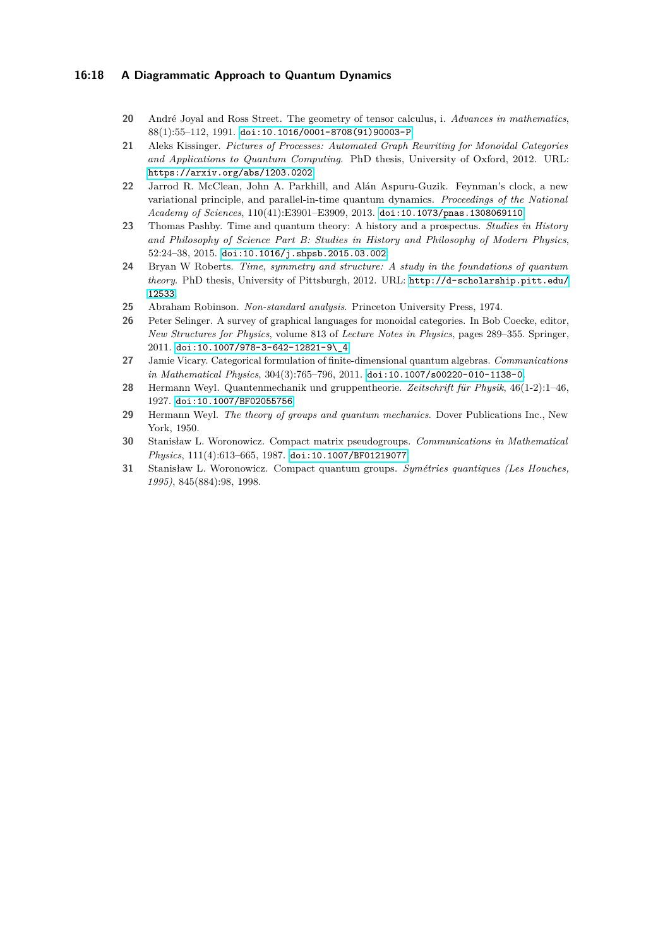#### **16:18 A Diagrammatic Approach to Quantum Dynamics**

- <span id="page-17-0"></span>**20** André Joyal and Ross Street. The geometry of tensor calculus, i. *Advances in mathematics*, 88(1):55–112, 1991. [doi:10.1016/0001-8708\(91\)90003-P](http://dx.doi.org/10.1016/0001-8708(91)90003-P).
- <span id="page-17-5"></span>**21** Aleks Kissinger. *Pictures of Processes: Automated Graph Rewriting for Monoidal Categories and Applications to Quantum Computing*. PhD thesis, University of Oxford, 2012. URL: <https://arxiv.org/abs/1203.0202>.
- <span id="page-17-10"></span>**22** Jarrod R. McClean, John A. Parkhill, and Alán Aspuru-Guzik. Feynman's clock, a new variational principle, and parallel-in-time quantum dynamics. *Proceedings of the National Academy of Sciences*, 110(41):E3901–E3909, 2013. [doi:10.1073/pnas.1308069110](http://dx.doi.org/10.1073/pnas.1308069110).
- <span id="page-17-6"></span>**23** Thomas Pashby. Time and quantum theory: A history and a prospectus. *Studies in History and Philosophy of Science Part B: Studies in History and Philosophy of Modern Physics*, 52:24–38, 2015. [doi:10.1016/j.shpsb.2015.03.002](http://dx.doi.org/10.1016/j.shpsb.2015.03.002).
- <span id="page-17-7"></span>**24** Bryan W Roberts. *Time, symmetry and structure: A study in the foundations of quantum theory*. PhD thesis, University of Pittsburgh, 2012. URL: [http://d-scholarship.pitt.edu/](http://d-scholarship.pitt.edu/12533) [12533](http://d-scholarship.pitt.edu/12533).
- <span id="page-17-11"></span>**25** Abraham Robinson. *Non-standard analysis*. Princeton University Press, 1974.
- <span id="page-17-1"></span>**26** Peter Selinger. A survey of graphical languages for monoidal categories. In Bob Coecke, editor, *New Structures for Physics*, volume 813 of *Lecture Notes in Physics*, pages 289–355. Springer, 2011. [doi:10.1007/978-3-642-12821-9\\\_4](http://dx.doi.org/10.1007/978-3-642-12821-9_4).
- <span id="page-17-4"></span>**27** Jamie Vicary. Categorical formulation of finite-dimensional quantum algebras. *Communications in Mathematical Physics*, 304(3):765–796, 2011. [doi:10.1007/s00220-010-1138-0](http://dx.doi.org/10.1007/s00220-010-1138-0).
- <span id="page-17-8"></span>**28** Hermann Weyl. Quantenmechanik und gruppentheorie. *Zeitschrift für Physik*, 46(1-2):1–46, 1927. [doi:10.1007/BF02055756](http://dx.doi.org/10.1007/BF02055756).
- <span id="page-17-9"></span>**29** Hermann Weyl. *The theory of groups and quantum mechanics*. Dover Publications Inc., New York, 1950.
- <span id="page-17-2"></span>**30** Stanisław L. Woronowicz. Compact matrix pseudogroups. *Communications in Mathematical Physics*, 111(4):613–665, 1987. [doi:10.1007/BF01219077](http://dx.doi.org/10.1007/BF01219077).
- <span id="page-17-3"></span>**31** Stanisław L. Woronowicz. Compact quantum groups. *Symétries quantiques (Les Houches, 1995)*, 845(884):98, 1998.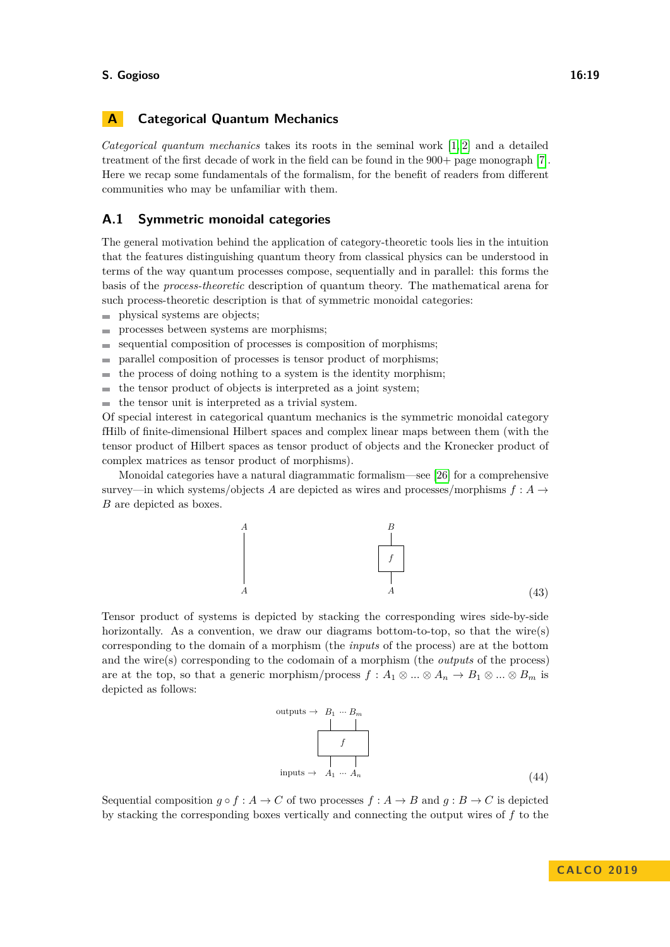# **A Categorical Quantum Mechanics**

*Categorical quantum mechanics* takes its roots in the seminal work [\[1,](#page-16-0) [2\]](#page-16-1) and a detailed treatment of the first decade of work in the field can be found in the 900+ page monograph [\[7\]](#page-16-2). Here we recap some fundamentals of the formalism, for the benefit of readers from different communities who may be unfamiliar with them.

# **A.1 Symmetric monoidal categories**

The general motivation behind the application of category-theoretic tools lies in the intuition that the features distinguishing quantum theory from classical physics can be understood in terms of the way quantum processes compose, sequentially and in parallel: this forms the basis of the *process-theoretic* description of quantum theory. The mathematical arena for such process-theoretic description is that of symmetric monoidal categories:

- physical systems are objects;  $\blacksquare$
- processes between systems are morphisms;  $\overline{a}$
- sequential composition of processes is composition of morphisms;  $\overline{a}$
- parallel composition of processes is tensor product of morphisms;  $\overline{a}$
- the process of doing nothing to a system is the identity morphism; ÷
- the tensor product of objects is interpreted as a joint system;  $\overline{\phantom{a}}$
- the tensor unit is interpreted as a trivial system.

Of special interest in categorical quantum mechanics is the symmetric monoidal category fHilb of finite-dimensional Hilbert spaces and complex linear maps between them (with the tensor product of Hilbert spaces as tensor product of objects and the Kronecker product of complex matrices as tensor product of morphisms).

Monoidal categories have a natural diagrammatic formalism—see [\[26\]](#page-17-1) for a comprehensive survey—in which systems/objects *A* are depicted as wires and processes/morphisms  $f : A \rightarrow$ *B* are depicted as boxes.



Tensor product of systems is depicted by stacking the corresponding wires side-by-side horizontally. As a convention, we draw our diagrams bottom-to-top, so that the wire(s) corresponding to the domain of a morphism (the *inputs* of the process) are at the bottom and the wire(s) corresponding to the codomain of a morphism (the *outputs* of the process) are at the top, so that a generic morphism/process  $f : A_1 \otimes ... \otimes A_n \to B_1 \otimes ... \otimes B_m$  is depicted as follows:

$$
\begin{array}{c}\n\text{outputs} \rightarrow B_1 \cdots B_m \\
\hline\n\end{array}
$$
\n
$$
\begin{array}{c}\n\downarrow \\
f \\
\hline\n\end{array}
$$
\n
$$
\text{inputs} \rightarrow A_1 \cdots A_n
$$
\n(44)

Sequential composition  $g \circ f : A \to C$  of two processes  $f : A \to B$  and  $g : B \to C$  is depicted by stacking the corresponding boxes vertically and connecting the output wires of *f* to the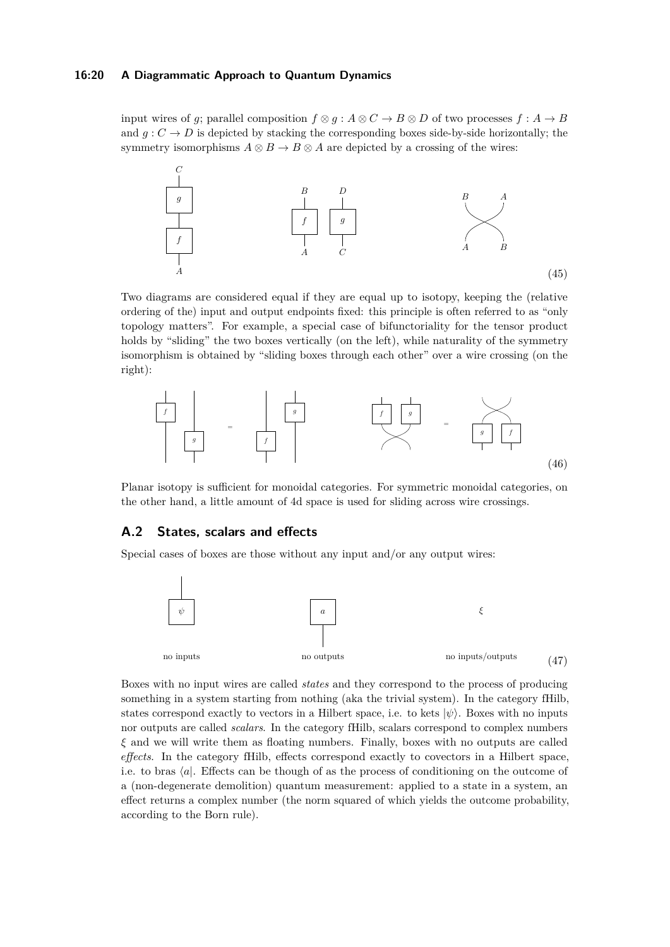#### **16:20 A Diagrammatic Approach to Quantum Dynamics**

input wires of *g*; parallel composition  $f \otimes g : A \otimes C \to B \otimes D$  of two processes  $f : A \to B$ and  $g: C \to D$  is depicted by stacking the corresponding boxes side-by-side horizontally; the symmetry isomorphisms  $A \otimes B \to B \otimes A$  are depicted by a crossing of the wires:



Two diagrams are considered equal if they are equal up to isotopy, keeping the (relative ordering of the) input and output endpoints fixed: this principle is often referred to as "only topology matters". For example, a special case of bifunctoriality for the tensor product holds by "sliding" the two boxes vertically (on the left), while naturality of the symmetry isomorphism is obtained by "sliding boxes through each other" over a wire crossing (on the right):



Planar isotopy is sufficient for monoidal categories. For symmetric monoidal categories, on the other hand, a little amount of 4d space is used for sliding across wire crossings.

### **A.2 States, scalars and effects**

Special cases of boxes are those without any input and/or any output wires:



Boxes with no input wires are called *states* and they correspond to the process of producing something in a system starting from nothing (aka the trivial system). In the category fHilb, states correspond exactly to vectors in a Hilbert space, i.e. to kets  $|\psi\rangle$ . Boxes with no inputs nor outputs are called *scalars*. In the category fHilb, scalars correspond to complex numbers *ξ* and we will write them as floating numbers. Finally, boxes with no outputs are called *effects*. In the category fHilb, effects correspond exactly to covectors in a Hilbert space, i.e. to bras  $\langle a|$ . Effects can be though of as the process of conditioning on the outcome of a (non-degenerate demolition) quantum measurement: applied to a state in a system, an effect returns a complex number (the norm squared of which yields the outcome probability, according to the Born rule).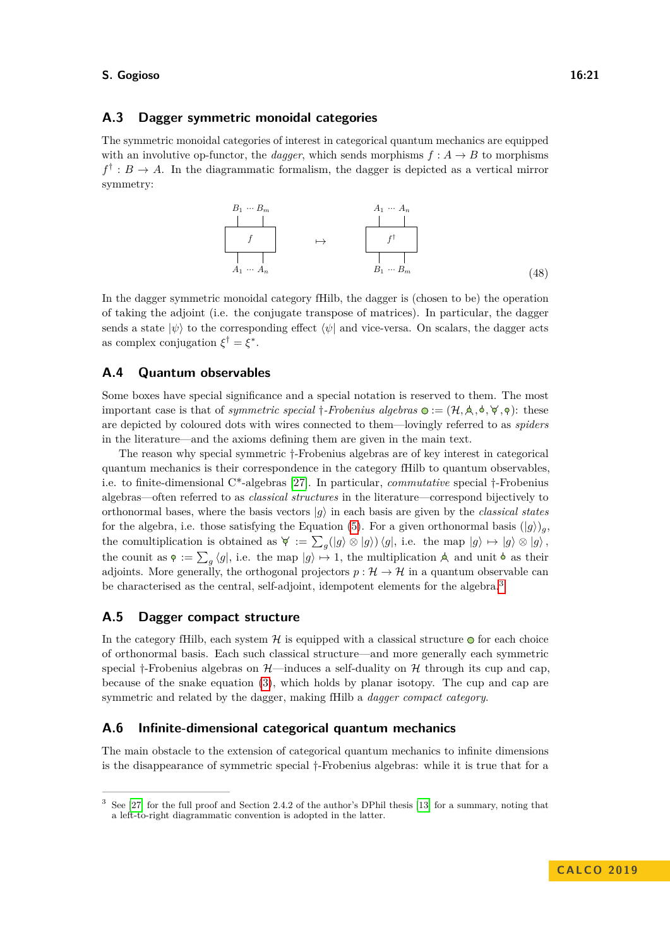# **A.3 Dagger symmetric monoidal categories**

The symmetric monoidal categories of interest in categorical quantum mechanics are equipped with an involutive op-functor, the *dagger*, which sends morphisms  $f: A \rightarrow B$  to morphisms  $f^{\dagger}: B \to A$ . In the diagrammatic formalism, the dagger is depicted as a vertical mirror symmetry:



In the dagger symmetric monoidal category fHilb, the dagger is (chosen to be) the operation of taking the adjoint (i.e. the conjugate transpose of matrices). In particular, the dagger sends a state  $|\psi\rangle$  to the corresponding effect  $\langle \psi |$  and vice-versa. On scalars, the dagger acts as complex conjugation  $\xi^{\dagger} = \xi^*$ .

### **A.4 Quantum observables**

Some boxes have special significance and a special notation is reserved to them. The most important case is that of *symmetric special*  $\dagger$ -Frobenius algebras  $\mathbf{Q} := (\mathcal{H}, \mathbf{A}, \mathbf{A}, \mathbf{A}, \mathbf{A}, \mathbf{A})$ : these are depicted by coloured dots with wires connected to them—lovingly referred to as *spiders* in the literature—and the axioms defining them are given in the main text.

The reason why special symmetric †-Frobenius algebras are of key interest in categorical quantum mechanics is their correspondence in the category fHilb to quantum observables, i.e. to finite-dimensional C\*-algebras [\[27\]](#page-17-4). In particular, *commutative* special †-Frobenius algebras—often referred to as *classical structures* in the literature—correspond bijectively to orthonormal bases, where the basis vectors  $|g\rangle$  in each basis are given by the *classical states* for the algebra, i.e. those satisfying the Equation [\(5\)](#page-1-0). For a given orthonormal basis  $(|g\rangle)_q$ , the comultiplication is obtained as  $\forall := \sum_g (|g\rangle \otimes |g\rangle) \langle g|$ , i.e. the map  $|g\rangle \mapsto |g\rangle \otimes |g\rangle$ , the counit as  $\varphi := \sum_{g} \langle g |$ , i.e. the map  $|g\rangle \mapsto 1$ , the multiplication  $A$  and unit  $\varphi$  as their adjoints. More generally, the orthogonal projectors  $p : \mathcal{H} \to \mathcal{H}$  in a quantum observable can be characterised as the central, self-adjoint, idempotent elements for the algebra.[3](#page-20-0)

### **A.5 Dagger compact structure**

In the category fHilb, each system  $H$  is equipped with a classical structure  $\odot$  for each choice of orthonormal basis. Each such classical structure—and more generally each symmetric special †-Frobenius algebras on  $\mathcal{H}$ —induces a self-duality on  $\mathcal{H}$  through its cup and cap, because of the snake equation [\(3\)](#page-1-1), which holds by planar isotopy. The cup and cap are symmetric and related by the dagger, making fHilb a *dagger compact category*.

#### **A.6 Infinite-dimensional categorical quantum mechanics**

The main obstacle to the extension of categorical quantum mechanics to infinite dimensions is the disappearance of symmetric special †-Frobenius algebras: while it is true that for a

<span id="page-20-0"></span><sup>3</sup> See [\[27\]](#page-17-4) for the full proof and Section 2.4.2 of the author's DPhil thesis [\[13\]](#page-16-10) for a summary, noting that a left-to-right diagrammatic convention is adopted in the latter.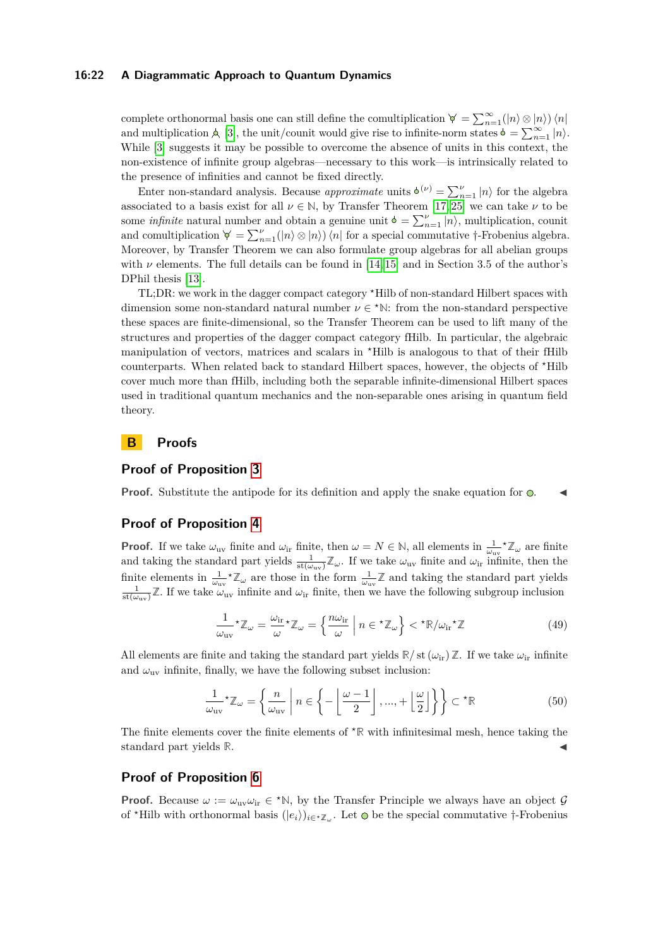#### **16:22 A Diagrammatic Approach to Quantum Dynamics**

complete orthonormal basis one can still define the comultiplication  $\forall = \sum_{n=1}^{\infty} (|n\rangle \otimes |n\rangle) \langle n|$ and multiplication  $\triangle$  [\[3\]](#page-16-15), the unit/counit would give rise to infinite-norm states  $\phi = \sum_{n=1}^{\infty} |n\rangle$ . While [\[3\]](#page-16-15) suggests it may be possible to overcome the absence of units in this context, the non-existence of infinite group algebras—necessary to this work—is intrinsically related to the presence of infinities and cannot be fixed directly.

Enter non-standard analysis. Because *approximate* units  $\phi^{(\nu)} = \sum_{n=1}^{\nu} |n\rangle$  for the algebra associated to a basis exist for all  $\nu \in \mathbb{N}$ , by Transfer Theorem [\[17,](#page-16-16) [25\]](#page-17-11) we can take  $\nu$  to be some *infinite* natural number and obtain a genuine unit  $\phi = \sum_{n=1}^{\nu} |n\rangle$ , multiplication, counit and comultiplication  $\forall = \sum_{n=1}^{\nu} (|n\rangle \otimes |n\rangle) \langle n|$  for a special commutative †-Frobenius algebra. Moreover, by Transfer Theorem we can also formulate group algebras for all abelian groups with  $\nu$  elements. The full details can be found in [\[14,](#page-16-7) [15\]](#page-16-8) and in Section 3.5 of the author's DPhil thesis [\[13\]](#page-16-10).

TL;DR: we work in the dagger compact category *?*Hilb of non-standard Hilbert spaces with dimension some non-standard natural number  $\nu \in \text{*N}$ : from the non-standard perspective these spaces are finite-dimensional, so the Transfer Theorem can be used to lift many of the structures and properties of the dagger compact category fHilb. In particular, the algebraic manipulation of vectors, matrices and scalars in *?*Hilb is analogous to that of their fHilb counterparts. When related back to standard Hilbert spaces, however, the objects of *?*Hilb cover much more than fHilb, including both the separable infinite-dimensional Hilbert spaces used in traditional quantum mechanics and the non-separable ones arising in quantum field theory.

# **B Proofs**

### **Proof of Proposition [3](#page-4-0)**

**Proof.** Substitute the antipode for its definition and apply the snake equation for  $\odot$ .

### **Proof of Proposition [4](#page-8-1)**

**Proof.** If we take  $\omega_{uv}$  finite and  $\omega_{ir}$  finite, then  $\omega = N \in \mathbb{N}$ , all elements in  $\frac{1}{\omega_{uv}} \chi_{\omega}$  are finite and taking the standard part yields  $\frac{1}{st(\omega_{uv})}\mathbb{Z}_{\omega}$ . If we take  $\omega_{uv}$  finite and  $\omega_{ir}$  infinite, then the finite elements in  $\frac{1}{\omega_{uv}}\star\mathbb{Z}_{\omega}$  are those in the form  $\frac{1}{\omega_{uv}}\mathbb{Z}$  and taking the standard part yields  $\frac{1}{\text{st}(\omega_{\text{uv}})}\mathbb{Z}$ . If we take  $\omega_{\text{uv}}$  infinite and  $\omega_{\text{ir}}$  finite, then we have the following subgroup inclusion

$$
\frac{1}{\omega_{\text{uv}}} \times \mathbb{Z}_{\omega} = \frac{\omega_{\text{ir}}}{\omega} \times \mathbb{Z}_{\omega} = \left\{ \frac{n\omega_{\text{ir}}}{\omega} \middle| n \in \mathbb{Z}_{\omega} \right\} < \mathbb{Z}_{\omega_{\text{ir}}} \times \mathbb{Z} \tag{49}
$$

All elements are finite and taking the standard part yields  $\mathbb{R}/\mathrm{st}(\omega_{ir})\mathbb{Z}$ . If we take  $\omega_{ir}$  infinite and  $\omega_{uv}$  infinite, finally, we have the following subset inclusion:

$$
\frac{1}{\omega_{\text{uv}}} \star \mathbb{Z}_{\omega} = \left\{ \frac{n}{\omega_{\text{uv}}} \middle| n \in \left\{ -\left\lfloor \frac{\omega - 1}{2} \right\rfloor, \dots, +\left\lfloor \frac{\omega}{2} \right\rfloor \right\} \right\} \subset \star \mathbb{R} \tag{50}
$$

The finite elements cover the finite elements of  $* \mathbb{R}$  with infinitesimal mesh, hence taking the standard part yields  $\mathbb{R}$ .

### **Proof of Proposition [6](#page-8-2)**

**Proof.** Because  $\omega := \omega_{uv}\omega_{ir} \in {}^{\star}\mathbb{N}$ , by the Transfer Principle we always have an object  $\mathcal{G}$ of <sup>\*</sup>Hilb with orthonormal basis  $(|e_i\rangle)_{i \in \mathcal{Z}_\omega}$ . Let  $\odot$  be the special commutative †-Frobenius